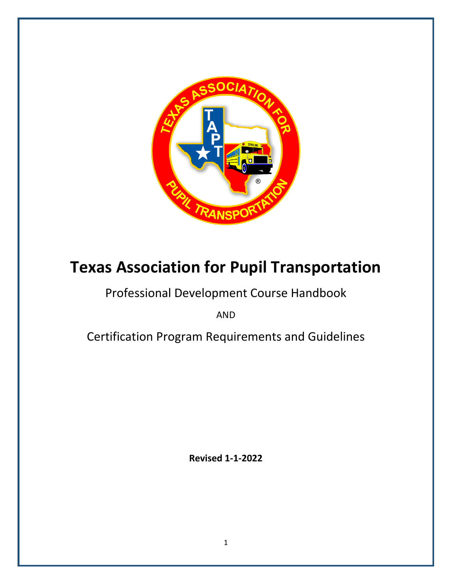

# **Texas Association for Pupil Transportation**

# Professional Development Course Handbook

AND

Certification Program Requirements and Guidelines

**Revised 1-1-2022**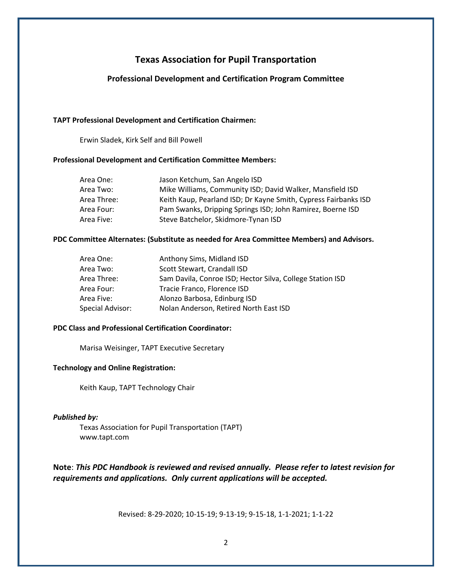# **Texas Association for Pupil Transportation**

#### **Professional Development and Certification Program Committee**

#### **TAPT Professional Development and Certification Chairmen:**

Erwin Sladek, Kirk Self and Bill Powell

#### **Professional Development and Certification Committee Members:**

| Area One:   | Jason Ketchum, San Angelo ISD                                   |
|-------------|-----------------------------------------------------------------|
| Area Two:   | Mike Williams, Community ISD; David Walker, Mansfield ISD       |
| Area Three: | Keith Kaup, Pearland ISD; Dr Kayne Smith, Cypress Fairbanks ISD |
| Area Four:  | Pam Swanks, Dripping Springs ISD; John Ramirez, Boerne ISD      |
| Area Five:  | Steve Batchelor, Skidmore-Tynan ISD                             |

#### **PDC Committee Alternates: (Substitute as needed for Area Committee Members) and Advisors.**

| Area One:        | Anthony Sims, Midland ISD                                 |
|------------------|-----------------------------------------------------------|
| Area Two:        | Scott Stewart, Crandall ISD                               |
| Area Three:      | Sam Davila, Conroe ISD; Hector Silva, College Station ISD |
| Area Four:       | Tracie Franco, Florence ISD                               |
| Area Five:       | Alonzo Barbosa, Edinburg ISD                              |
| Special Advisor: | Nolan Anderson, Retired North East ISD                    |

#### **PDC Class and Professional Certification Coordinator:**

Marisa Weisinger, TAPT Executive Secretary

#### **Technology and Online Registration:**

Keith Kaup, TAPT Technology Chair

#### *Published by:*

Texas Association for Pupil Transportation (TAPT) www.tapt.com

**Note**: *This PDC Handbook is reviewed and revised annually. Please refer to latest revision for requirements and applications. Only current applications will be accepted.*

Revised: 8-29-2020; 10-15-19; 9-13-19; 9-15-18, 1-1-2021; 1-1-22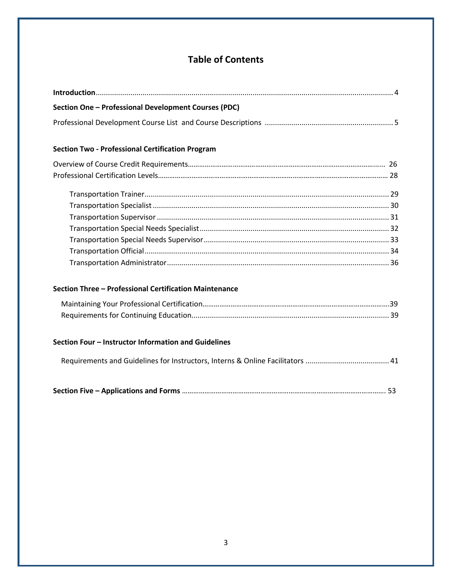# **Table of Contents**

| Section One - Professional Development Courses (PDC)                           |
|--------------------------------------------------------------------------------|
|                                                                                |
|                                                                                |
| <b>Section Two - Professional Certification Program</b>                        |
|                                                                                |
|                                                                                |
|                                                                                |
|                                                                                |
|                                                                                |
|                                                                                |
|                                                                                |
|                                                                                |
|                                                                                |
| Section Three - Professional Certification Maintenance                         |
|                                                                                |
|                                                                                |
| Section Four - Instructor Information and Guidelines                           |
| Requirements and Guidelines for Instructors, Interns & Online Facilitators  41 |
|                                                                                |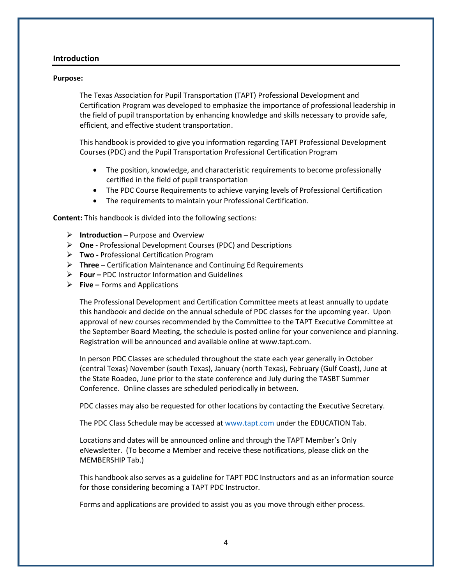#### **Introduction**

#### **Purpose:**

The Texas Association for Pupil Transportation (TAPT) Professional Development and Certification Program was developed to emphasize the importance of professional leadership in the field of pupil transportation by enhancing knowledge and skills necessary to provide safe, efficient, and effective student transportation.

This handbook is provided to give you information regarding TAPT Professional Development Courses (PDC) and the Pupil Transportation Professional Certification Program

- The position, knowledge, and characteristic requirements to become professionally certified in the field of pupil transportation
- The PDC Course Requirements to achieve varying levels of Professional Certification
- The requirements to maintain your Professional Certification.

**Content:** This handbook is divided into the following sections:

- ➢ **Introduction –** Purpose and Overview
- ➢ **One** Professional Development Courses (PDC) and Descriptions
- ➢ **Two -** Professional Certification Program
- ➢ **Three –** Certification Maintenance and Continuing Ed Requirements
- ➢ **Four –** PDC Instructor Information and Guidelines
- ➢ **Five –** Forms and Applications

The Professional Development and Certification Committee meets at least annually to update this handbook and decide on the annual schedule of PDC classes for the upcoming year. Upon approval of new courses recommended by the Committee to the TAPT Executive Committee at the September Board Meeting, the schedule is posted online for your convenience and planning. Registration will be announced and available online at www.tapt.com.

In person PDC Classes are scheduled throughout the state each year generally in October (central Texas) November (south Texas), January (north Texas), February (Gulf Coast), June at the State Roadeo, June prior to the state conference and July during the TASBT Summer Conference. Online classes are scheduled periodically in between.

PDC classes may also be requested for other locations by contacting the Executive Secretary.

The PDC Class Schedule may be accessed a[t www.tapt.com](http://www.tapt.com/) under the EDUCATION Tab.

Locations and dates will be announced online and through the TAPT Member's Only eNewsletter. (To become a Member and receive these notifications, please click on the MEMBERSHIP Tab.)

This handbook also serves as a guideline for TAPT PDC Instructors and as an information source for those considering becoming a TAPT PDC Instructor.

Forms and applications are provided to assist you as you move through either process.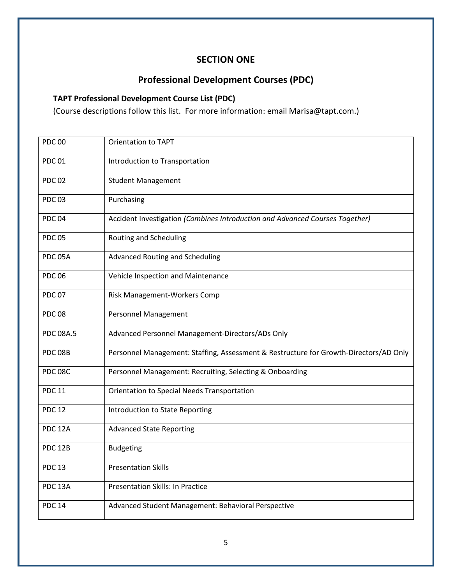# **SECTION ONE**

# **Professional Development Courses (PDC)**

# **TAPT Professional Development Course List (PDC)**

(Course descriptions follow this list. For more information: email Marisa@tapt.com.)

| <b>PDC00</b>     | <b>Orientation to TAPT</b>                                                            |
|------------------|---------------------------------------------------------------------------------------|
| <b>PDC01</b>     | Introduction to Transportation                                                        |
| <b>PDC02</b>     | <b>Student Management</b>                                                             |
| <b>PDC03</b>     | Purchasing                                                                            |
| <b>PDC04</b>     | Accident Investigation (Combines Introduction and Advanced Courses Together)          |
| <b>PDC 05</b>    | <b>Routing and Scheduling</b>                                                         |
| PDC 05A          | <b>Advanced Routing and Scheduling</b>                                                |
| <b>PDC06</b>     | Vehicle Inspection and Maintenance                                                    |
| <b>PDC 07</b>    | Risk Management-Workers Comp                                                          |
| <b>PDC08</b>     | <b>Personnel Management</b>                                                           |
| <b>PDC 08A.5</b> | Advanced Personnel Management-Directors/ADs Only                                      |
| PDC 08B          | Personnel Management: Staffing, Assessment & Restructure for Growth-Directors/AD Only |
| <b>PDC 08C</b>   | Personnel Management: Recruiting, Selecting & Onboarding                              |
| <b>PDC 11</b>    | Orientation to Special Needs Transportation                                           |
| <b>PDC 12</b>    | Introduction to State Reporting                                                       |
| <b>PDC 12A</b>   | <b>Advanced State Reporting</b>                                                       |
| <b>PDC 12B</b>   | <b>Budgeting</b>                                                                      |
| <b>PDC 13</b>    | <b>Presentation Skills</b>                                                            |
| <b>PDC 13A</b>   | <b>Presentation Skills: In Practice</b>                                               |
| <b>PDC 14</b>    | Advanced Student Management: Behavioral Perspective                                   |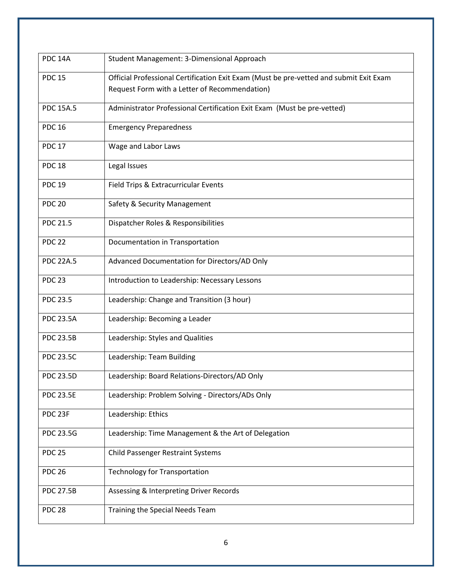| <b>PDC 14A</b>   | Student Management: 3-Dimensional Approach                                             |  |  |  |  |  |
|------------------|----------------------------------------------------------------------------------------|--|--|--|--|--|
| <b>PDC 15</b>    | Official Professional Certification Exit Exam (Must be pre-vetted and submit Exit Exam |  |  |  |  |  |
|                  | Request Form with a Letter of Recommendation)                                          |  |  |  |  |  |
|                  |                                                                                        |  |  |  |  |  |
| <b>PDC 15A.5</b> | Administrator Professional Certification Exit Exam (Must be pre-vetted)                |  |  |  |  |  |
| <b>PDC 16</b>    | <b>Emergency Preparedness</b>                                                          |  |  |  |  |  |
|                  |                                                                                        |  |  |  |  |  |
| <b>PDC 17</b>    | Wage and Labor Laws                                                                    |  |  |  |  |  |
| <b>PDC 18</b>    | Legal Issues                                                                           |  |  |  |  |  |
|                  |                                                                                        |  |  |  |  |  |
| <b>PDC 19</b>    | Field Trips & Extracurricular Events                                                   |  |  |  |  |  |
| <b>PDC 20</b>    | Safety & Security Management                                                           |  |  |  |  |  |
|                  |                                                                                        |  |  |  |  |  |
| <b>PDC 21.5</b>  | Dispatcher Roles & Responsibilities                                                    |  |  |  |  |  |
| <b>PDC 22</b>    | Documentation in Transportation                                                        |  |  |  |  |  |
|                  |                                                                                        |  |  |  |  |  |
| <b>PDC 22A.5</b> | Advanced Documentation for Directors/AD Only                                           |  |  |  |  |  |
| <b>PDC 23</b>    | Introduction to Leadership: Necessary Lessons                                          |  |  |  |  |  |
|                  |                                                                                        |  |  |  |  |  |
| <b>PDC 23.5</b>  | Leadership: Change and Transition (3 hour)                                             |  |  |  |  |  |
| <b>PDC 23.5A</b> | Leadership: Becoming a Leader                                                          |  |  |  |  |  |
|                  |                                                                                        |  |  |  |  |  |
| <b>PDC 23.5B</b> | Leadership: Styles and Qualities                                                       |  |  |  |  |  |
| <b>PDC 23.5C</b> | Leadership: Team Building                                                              |  |  |  |  |  |
|                  |                                                                                        |  |  |  |  |  |
| <b>PDC 23.5D</b> | Leadership: Board Relations-Directors/AD Only                                          |  |  |  |  |  |
|                  |                                                                                        |  |  |  |  |  |
| <b>PDC 23.5E</b> | Leadership: Problem Solving - Directors/ADs Only                                       |  |  |  |  |  |
| PDC 23F          | Leadership: Ethics                                                                     |  |  |  |  |  |
|                  |                                                                                        |  |  |  |  |  |
| <b>PDC 23.5G</b> | Leadership: Time Management & the Art of Delegation                                    |  |  |  |  |  |
| <b>PDC 25</b>    | <b>Child Passenger Restraint Systems</b>                                               |  |  |  |  |  |
|                  |                                                                                        |  |  |  |  |  |
| <b>PDC 26</b>    | <b>Technology for Transportation</b>                                                   |  |  |  |  |  |
| <b>PDC 27.5B</b> | Assessing & Interpreting Driver Records                                                |  |  |  |  |  |
|                  |                                                                                        |  |  |  |  |  |
| <b>PDC 28</b>    | Training the Special Needs Team                                                        |  |  |  |  |  |
|                  |                                                                                        |  |  |  |  |  |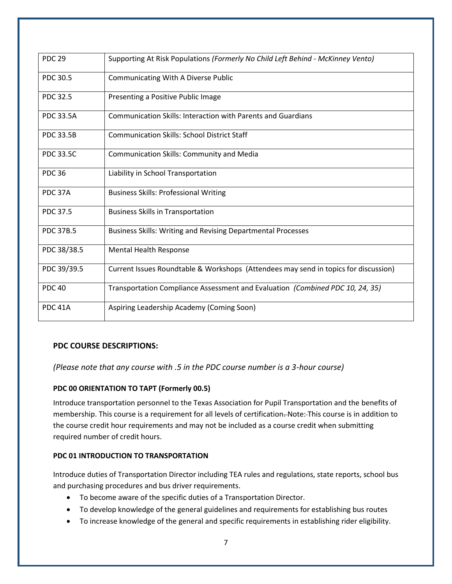| <b>PDC 29</b>    | Supporting At Risk Populations (Formerly No Child Left Behind - McKinney Vento)     |
|------------------|-------------------------------------------------------------------------------------|
| PDC 30.5         | <b>Communicating With A Diverse Public</b>                                          |
| PDC 32.5         | Presenting a Positive Public Image                                                  |
| <b>PDC 33.5A</b> | Communication Skills: Interaction with Parents and Guardians                        |
| <b>PDC 33.5B</b> | <b>Communication Skills: School District Staff</b>                                  |
| <b>PDC 33.5C</b> | <b>Communication Skills: Community and Media</b>                                    |
| <b>PDC 36</b>    | Liability in School Transportation                                                  |
| PDC 37A          | <b>Business Skills: Professional Writing</b>                                        |
| PDC 37.5         | <b>Business Skills in Transportation</b>                                            |
| <b>PDC 37B.5</b> | <b>Business Skills: Writing and Revising Departmental Processes</b>                 |
| PDC 38/38.5      | <b>Mental Health Response</b>                                                       |
| PDC 39/39.5      | Current Issues Roundtable & Workshops (Attendees may send in topics for discussion) |
| <b>PDC 40</b>    | Transportation Compliance Assessment and Evaluation (Combined PDC 10, 24, 35)       |
| <b>PDC 41A</b>   | Aspiring Leadership Academy (Coming Soon)                                           |

## **PDC COURSE DESCRIPTIONS:**

*(Please note that any course with .5 in the PDC course number is a 3-hour course)*

#### **PDC 00 ORIENTATION TO TAPT (Formerly 00.5)**

Introduce transportation personnel to the Texas Association for Pupil Transportation and the benefits of membership. This course is a requirement for all levels of certification. Note: This course is in addition to the course credit hour requirements and may not be included as a course credit when submitting required number of credit hours.

#### **PDC 01 INTRODUCTION TO TRANSPORTATION**

Introduce duties of Transportation Director including TEA rules and regulations, state reports, school bus and purchasing procedures and bus driver requirements.

- To become aware of the specific duties of a Transportation Director.
- To develop knowledge of the general guidelines and requirements for establishing bus routes
- To increase knowledge of the general and specific requirements in establishing rider eligibility.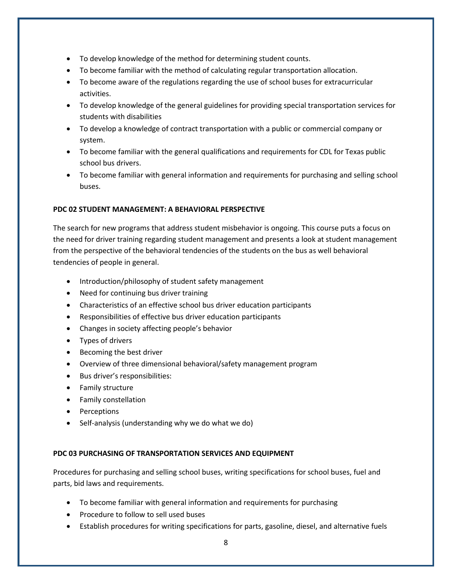- To develop knowledge of the method for determining student counts.
- To become familiar with the method of calculating regular transportation allocation.
- To become aware of the regulations regarding the use of school buses for extracurricular activities.
- To develop knowledge of the general guidelines for providing special transportation services for students with disabilities
- To develop a knowledge of contract transportation with a public or commercial company or system.
- To become familiar with the general qualifications and requirements for CDL for Texas public school bus drivers.
- To become familiar with general information and requirements for purchasing and selling school buses.

#### **PDC 02 STUDENT MANAGEMENT: A BEHAVIORAL PERSPECTIVE**

The search for new programs that address student misbehavior is ongoing. This course puts a focus on the need for driver training regarding student management and presents a look at student management from the perspective of the behavioral tendencies of the students on the bus as well behavioral tendencies of people in general.

- Introduction/philosophy of student safety management
- Need for continuing bus driver training
- Characteristics of an effective school bus driver education participants
- Responsibilities of effective bus driver education participants
- Changes in society affecting people's behavior
- Types of drivers
- Becoming the best driver
- Overview of three dimensional behavioral/safety management program
- Bus driver's responsibilities:
- Family structure
- Family constellation
- Perceptions
- Self-analysis (understanding why we do what we do)

#### **PDC 03 PURCHASING OF TRANSPORTATION SERVICES AND EQUIPMENT**

Procedures for purchasing and selling school buses, writing specifications for school buses, fuel and parts, bid laws and requirements.

- To become familiar with general information and requirements for purchasing
- Procedure to follow to sell used buses
- Establish procedures for writing specifications for parts, gasoline, diesel, and alternative fuels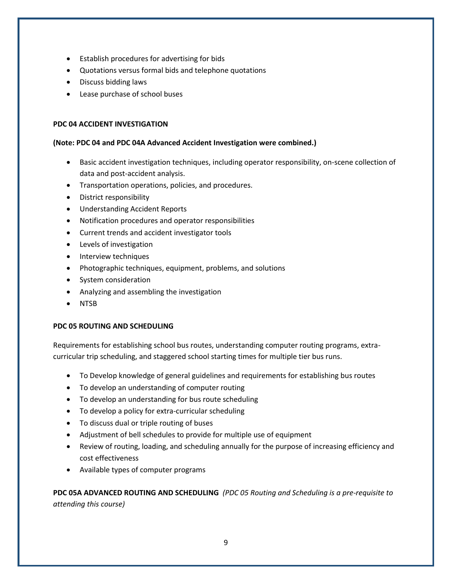- Establish procedures for advertising for bids
- Quotations versus formal bids and telephone quotations
- Discuss bidding laws
- Lease purchase of school buses

#### **PDC 04 ACCIDENT INVESTIGATION**

#### **(Note: PDC 04 and PDC 04A Advanced Accident Investigation were combined.)**

- Basic accident investigation techniques, including operator responsibility, on-scene collection of data and post-accident analysis.
- Transportation operations, policies, and procedures.
- District responsibility
- Understanding Accident Reports
- Notification procedures and operator responsibilities
- Current trends and accident investigator tools
- Levels of investigation
- Interview techniques
- Photographic techniques, equipment, problems, and solutions
- System consideration
- Analyzing and assembling the investigation
- NTSB

#### **PDC 05 ROUTING AND SCHEDULING**

Requirements for establishing school bus routes, understanding computer routing programs, extracurricular trip scheduling, and staggered school starting times for multiple tier bus runs.

- To Develop knowledge of general guidelines and requirements for establishing bus routes
- To develop an understanding of computer routing
- To develop an understanding for bus route scheduling
- To develop a policy for extra-curricular scheduling
- To discuss dual or triple routing of buses
- Adjustment of bell schedules to provide for multiple use of equipment
- Review of routing, loading, and scheduling annually for the purpose of increasing efficiency and cost effectiveness
- Available types of computer programs

**PDC 05A ADVANCED ROUTING AND SCHEDULING** *(PDC 05 Routing and Scheduling is a pre-requisite to attending this course)*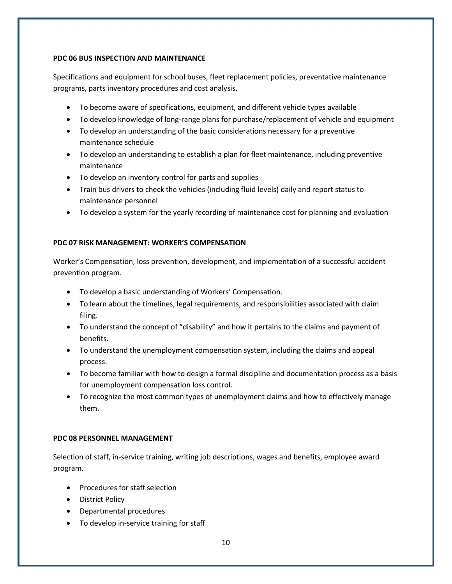#### **PDC 06 BUS INSPECTION AND MAINTENANCE**

Specifications and equipment for school buses, fleet replacement policies, preventative maintenance programs, parts inventory procedures and cost analysis.

- To become aware of specifications, equipment, and different vehicle types available
- To develop knowledge of long-range plans for purchase/replacement of vehicle and equipment
- To develop an understanding of the basic considerations necessary for a preventive maintenance schedule
- To develop an understanding to establish a plan for fleet maintenance, including preventive maintenance
- To develop an inventory control for parts and supplies
- Train bus drivers to check the vehicles (including fluid levels) daily and report status to maintenance personnel
- To develop a system for the yearly recording of maintenance cost for planning and evaluation

## **PDC 07 RISK MANAGEMENT: WORKER'S COMPENSATION**

Worker's Compensation, loss prevention, development, and implementation of a successful accident prevention program.

- To develop a basic understanding of Workers' Compensation.
- To learn about the timelines, legal requirements, and responsibilities associated with claim filing.
- To understand the concept of "disability" and how it pertains to the claims and payment of benefits.
- To understand the unemployment compensation system, including the claims and appeal process.
- To become familiar with how to design a formal discipline and documentation process as a basis for unemployment compensation loss control.
- To recognize the most common types of unemployment claims and how to effectively manage them.

## **PDC 08 PERSONNEL MANAGEMENT**

Selection of staff, in-service training, writing job descriptions, wages and benefits, employee award program.

- Procedures for staff selection
- District Policy
- Departmental procedures
- To develop in-service training for staff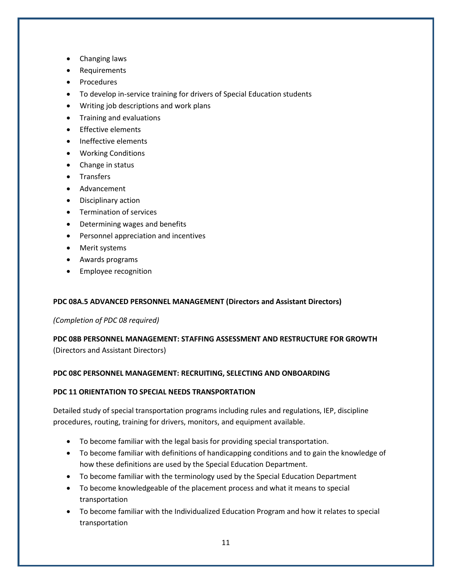- Changing laws
- Requirements
- Procedures
- To develop in-service training for drivers of Special Education students
- Writing job descriptions and work plans
- Training and evaluations
- Effective elements
- Ineffective elements
- Working Conditions
- Change in status
- Transfers
- Advancement
- Disciplinary action
- Termination of services
- Determining wages and benefits
- Personnel appreciation and incentives
- Merit systems
- Awards programs
- Employee recognition

## **PDC 08A.5 ADVANCED PERSONNEL MANAGEMENT (Directors and Assistant Directors)**

*(Completion of PDC 08 required)*

**PDC 08B PERSONNEL MANAGEMENT: STAFFING ASSESSMENT AND RESTRUCTURE FOR GROWTH** (Directors and Assistant Directors)

#### **PDC 08C PERSONNEL MANAGEMENT: RECRUITING, SELECTING AND ONBOARDING**

#### **PDC 11 ORIENTATION TO SPECIAL NEEDS TRANSPORTATION**

Detailed study of special transportation programs including rules and regulations, IEP, discipline procedures, routing, training for drivers, monitors, and equipment available.

- To become familiar with the legal basis for providing special transportation.
- To become familiar with definitions of handicapping conditions and to gain the knowledge of how these definitions are used by the Special Education Department.
- To become familiar with the terminology used by the Special Education Department
- To become knowledgeable of the placement process and what it means to special transportation
- To become familiar with the Individualized Education Program and how it relates to special transportation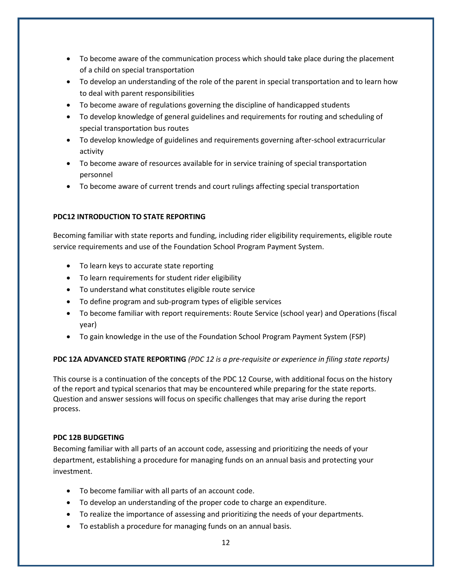- To become aware of the communication process which should take place during the placement of a child on special transportation
- To develop an understanding of the role of the parent in special transportation and to learn how to deal with parent responsibilities
- To become aware of regulations governing the discipline of handicapped students
- To develop knowledge of general guidelines and requirements for routing and scheduling of special transportation bus routes
- To develop knowledge of guidelines and requirements governing after-school extracurricular activity
- To become aware of resources available for in service training of special transportation personnel
- To become aware of current trends and court rulings affecting special transportation

# **PDC12 INTRODUCTION TO STATE REPORTING**

Becoming familiar with state reports and funding, including rider eligibility requirements, eligible route service requirements and use of the Foundation School Program Payment System.

- To learn keys to accurate state reporting
- To learn requirements for student rider eligibility
- To understand what constitutes eligible route service
- To define program and sub-program types of eligible services
- To become familiar with report requirements: Route Service (school year) and Operations (fiscal year)
- To gain knowledge in the use of the Foundation School Program Payment System (FSP)

## **PDC 12A ADVANCED STATE REPORTING** *(PDC 12 is a pre-requisite or experience in filing state reports)*

This course is a continuation of the concepts of the PDC 12 Course, with additional focus on the history of the report and typical scenarios that may be encountered while preparing for the state reports. Question and answer sessions will focus on specific challenges that may arise during the report process.

## **PDC 12B BUDGETING**

Becoming familiar with all parts of an account code, assessing and prioritizing the needs of your department, establishing a procedure for managing funds on an annual basis and protecting your investment.

- To become familiar with all parts of an account code.
- To develop an understanding of the proper code to charge an expenditure.
- To realize the importance of assessing and prioritizing the needs of your departments.
- To establish a procedure for managing funds on an annual basis.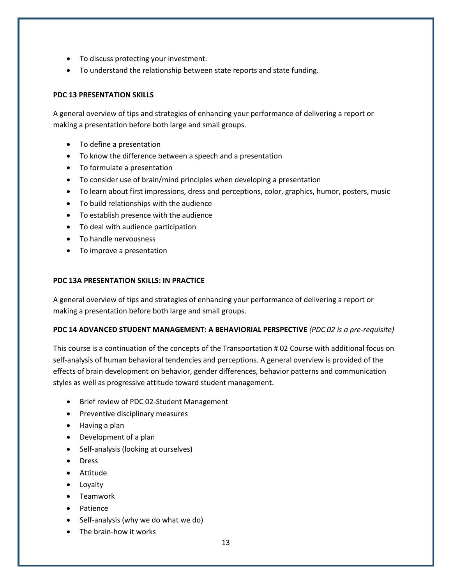- To discuss protecting your investment.
- To understand the relationship between state reports and state funding.

#### **PDC 13 PRESENTATION SKILLS**

A general overview of tips and strategies of enhancing your performance of delivering a report or making a presentation before both large and small groups.

- To define a presentation
- To know the difference between a speech and a presentation
- To formulate a presentation
- To consider use of brain/mind principles when developing a presentation
- To learn about first impressions, dress and perceptions, color, graphics, humor, posters, music
- To build relationships with the audience
- To establish presence with the audience
- To deal with audience participation
- To handle nervousness
- To improve a presentation

#### **PDC 13A PRESENTATION SKILLS: IN PRACTICE**

A general overview of tips and strategies of enhancing your performance of delivering a report or making a presentation before both large and small groups.

#### **PDC 14 ADVANCED STUDENT MANAGEMENT: A BEHAVIORIAL PERSPECTIVE** *(PDC 02 is a pre-requisite)*

This course is a continuation of the concepts of the Transportation # 02 Course with additional focus on self-analysis of human behavioral tendencies and perceptions. A general overview is provided of the effects of brain development on behavior, gender differences, behavior patterns and communication styles as well as progressive attitude toward student management.

- Brief review of PDC 02-Student Management
- Preventive disciplinary measures
- Having a plan
- Development of a plan
- Self-analysis (looking at ourselves)
- Dress
- Attitude
- Loyalty
- Teamwork
- Patience
- Self-analysis (why we do what we do)
- The brain-how it works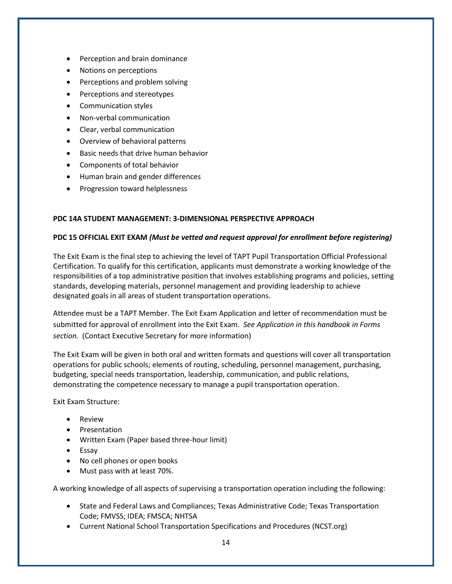- Perception and brain dominance
- Notions on perceptions
- Perceptions and problem solving
- Perceptions and stereotypes
- Communication styles
- Non-verbal communication
- Clear, verbal communication
- Overview of behavioral patterns
- Basic needs that drive human behavior
- Components of total behavior
- Human brain and gender differences
- Progression toward helplessness

#### **PDC 14A STUDENT MANAGEMENT: 3-DIMENSIONAL PERSPECTIVE APPROACH**

#### **PDC 15 OFFICIAL EXIT EXAM** *(Must be vetted and request approval for enrollment before registering)*

The Exit Exam is the final step to achieving the level of TAPT Pupil Transportation Official Professional Certification. To qualify for this certification, applicants must demonstrate a working knowledge of the responsibilities of a top administrative position that involves establishing programs and policies, setting standards, developing materials, personnel management and providing leadership to achieve designated goals in all areas of student transportation operations.

Attendee must be a TAPT Member. The Exit Exam Application and letter of recommendation must be submitted for approval of enrollment into the Exit Exam. *See Application in this handbook in Forms section.* (Contact Executive Secretary for more information)

The Exit Exam will be given in both oral and written formats and questions will cover all transportation operations for public schools; elements of routing, scheduling, personnel management, purchasing, budgeting, special needs transportation, leadership, communication, and public relations, demonstrating the competence necessary to manage a pupil transportation operation.

Exit Exam Structure:

- Review
- Presentation
- Written Exam (Paper based three-hour limit)
- Essay
- No cell phones or open books
- Must pass with at least 70%.

A working knowledge of all aspects of supervising a transportation operation including the following:

- State and Federal Laws and Compliances; Texas Administrative Code; Texas Transportation Code; FMVSS; IDEA; FMSCA; NHTSA
- Current National School Transportation Specifications and Procedures (NCST.org)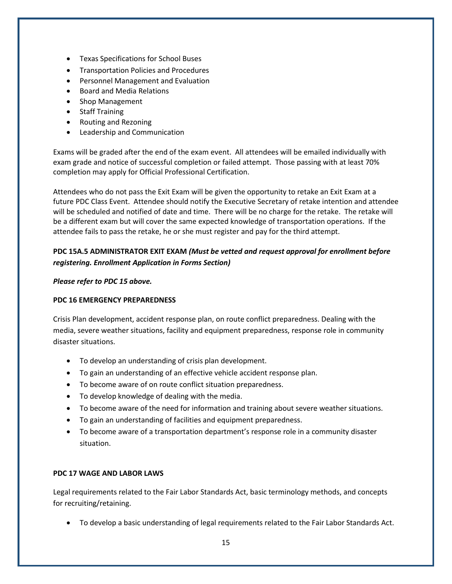- Texas Specifications for School Buses
- Transportation Policies and Procedures
- Personnel Management and Evaluation
- Board and Media Relations
- Shop Management
- Staff Training
- Routing and Rezoning
- Leadership and Communication

Exams will be graded after the end of the exam event. All attendees will be emailed individually with exam grade and notice of successful completion or failed attempt. Those passing with at least 70% completion may apply for Official Professional Certification.

Attendees who do not pass the Exit Exam will be given the opportunity to retake an Exit Exam at a future PDC Class Event. Attendee should notify the Executive Secretary of retake intention and attendee will be scheduled and notified of date and time. There will be no charge for the retake. The retake will be a different exam but will cover the same expected knowledge of transportation operations. If the attendee fails to pass the retake, he or she must register and pay for the third attempt.

# **PDC 15A.5 ADMINISTRATOR EXIT EXAM** *(Must be vetted and request approval for enrollment before registering. Enrollment Application in Forms Section)*

## *Please refer to PDC 15 above.*

## **PDC 16 EMERGENCY PREPAREDNESS**

Crisis Plan development, accident response plan, on route conflict preparedness. Dealing with the media, severe weather situations, facility and equipment preparedness, response role in community disaster situations.

- To develop an understanding of crisis plan development.
- To gain an understanding of an effective vehicle accident response plan.
- To become aware of on route conflict situation preparedness.
- To develop knowledge of dealing with the media.
- To become aware of the need for information and training about severe weather situations.
- To gain an understanding of facilities and equipment preparedness.
- To become aware of a transportation department's response role in a community disaster situation.

## **PDC 17 WAGE AND LABOR LAWS**

Legal requirements related to the Fair Labor Standards Act, basic terminology methods, and concepts for recruiting/retaining.

• To develop a basic understanding of legal requirements related to the Fair Labor Standards Act.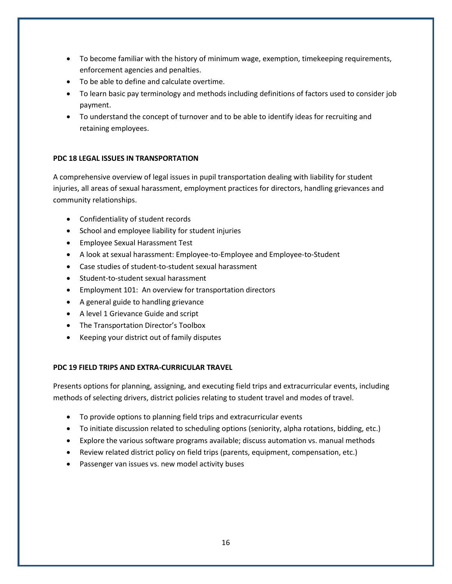- To become familiar with the history of minimum wage, exemption, timekeeping requirements, enforcement agencies and penalties.
- To be able to define and calculate overtime.
- To learn basic pay terminology and methods including definitions of factors used to consider job payment.
- To understand the concept of turnover and to be able to identify ideas for recruiting and retaining employees.

#### **PDC 18 LEGAL ISSUES IN TRANSPORTATION**

A comprehensive overview of legal issues in pupil transportation dealing with liability for student injuries, all areas of sexual harassment, employment practices for directors, handling grievances and community relationships.

- Confidentiality of student records
- School and employee liability for student injuries
- Employee Sexual Harassment Test
- A look at sexual harassment: Employee-to-Employee and Employee-to-Student
- Case studies of student-to-student sexual harassment
- Student-to-student sexual harassment
- Employment 101: An overview for transportation directors
- A general guide to handling grievance
- A level 1 Grievance Guide and script
- The Transportation Director's Toolbox
- Keeping your district out of family disputes

#### **PDC 19 FIELD TRIPS AND EXTRA-CURRICULAR TRAVEL**

Presents options for planning, assigning, and executing field trips and extracurricular events, including methods of selecting drivers, district policies relating to student travel and modes of travel.

- To provide options to planning field trips and extracurricular events
- To initiate discussion related to scheduling options (seniority, alpha rotations, bidding, etc.)
- Explore the various software programs available; discuss automation vs. manual methods
- Review related district policy on field trips (parents, equipment, compensation, etc.)
- Passenger van issues vs. new model activity buses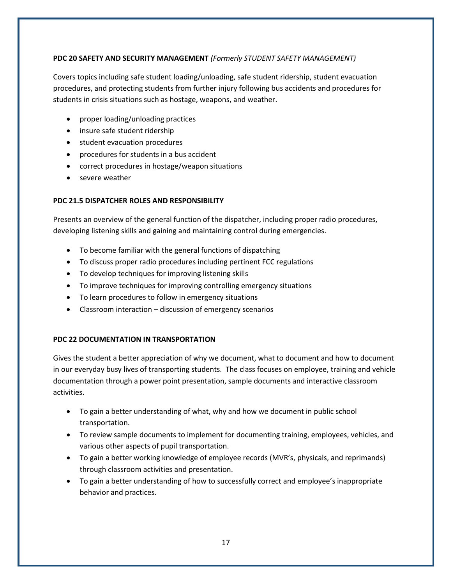#### **PDC 20 SAFETY AND SECURITY MANAGEMENT** *(Formerly STUDENT SAFETY MANAGEMENT)*

Covers topics including safe student loading/unloading, safe student ridership, student evacuation procedures, and protecting students from further injury following bus accidents and procedures for students in crisis situations such as hostage, weapons, and weather.

- proper loading/unloading practices
- insure safe student ridership
- student evacuation procedures
- procedures for students in a bus accident
- correct procedures in hostage/weapon situations
- severe weather

#### **PDC 21.5 DISPATCHER ROLES AND RESPONSIBILITY**

Presents an overview of the general function of the dispatcher, including proper radio procedures, developing listening skills and gaining and maintaining control during emergencies.

- To become familiar with the general functions of dispatching
- To discuss proper radio procedures including pertinent FCC regulations
- To develop techniques for improving listening skills
- To improve techniques for improving controlling emergency situations
- To learn procedures to follow in emergency situations
- Classroom interaction discussion of emergency scenarios

#### **PDC 22 DOCUMENTATION IN TRANSPORTATION**

Gives the student a better appreciation of why we document, what to document and how to document in our everyday busy lives of transporting students. The class focuses on employee, training and vehicle documentation through a power point presentation, sample documents and interactive classroom activities.

- To gain a better understanding of what, why and how we document in public school transportation.
- To review sample documents to implement for documenting training, employees, vehicles, and various other aspects of pupil transportation.
- To gain a better working knowledge of employee records (MVR's, physicals, and reprimands) through classroom activities and presentation.
- To gain a better understanding of how to successfully correct and employee's inappropriate behavior and practices.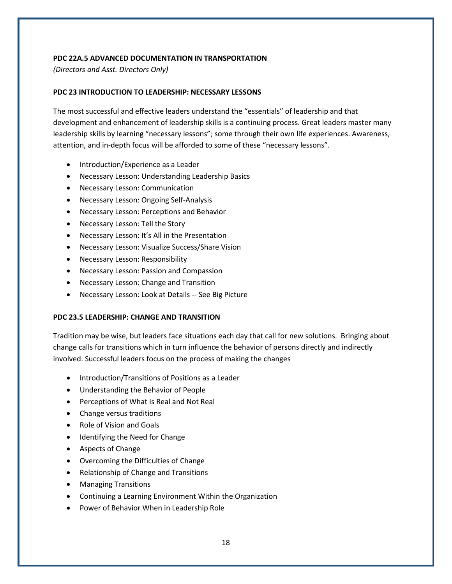#### **PDC 22A.5 ADVANCED DOCUMENTATION IN TRANSPORTATION**

*(Directors and Asst. Directors Only)*

#### **PDC 23 INTRODUCTION TO LEADERSHIP: NECESSARY LESSONS**

The most successful and effective leaders understand the "essentials" of leadership and that development and enhancement of leadership skills is a continuing process. Great leaders master many leadership skills by learning "necessary lessons"; some through their own life experiences. Awareness, attention, and in-depth focus will be afforded to some of these "necessary lessons".

- Introduction/Experience as a Leader
- Necessary Lesson: Understanding Leadership Basics
- Necessary Lesson: Communication
- Necessary Lesson: Ongoing Self-Analysis
- Necessary Lesson: Perceptions and Behavior
- Necessary Lesson: Tell the Story
- Necessary Lesson: It's All in the Presentation
- Necessary Lesson: Visualize Success/Share Vision
- Necessary Lesson: Responsibility
- Necessary Lesson: Passion and Compassion
- Necessary Lesson: Change and Transition
- Necessary Lesson: Look at Details -- See Big Picture

#### **PDC 23.5 LEADERSHIP: CHANGE AND TRANSITION**

Tradition may be wise, but leaders face situations each day that call for new solutions. Bringing about change calls for transitions which in turn influence the behavior of persons directly and indirectly involved. Successful leaders focus on the process of making the changes

- Introduction/Transitions of Positions as a Leader
- Understanding the Behavior of People
- Perceptions of What Is Real and Not Real
- Change versus traditions
- Role of Vision and Goals
- Identifying the Need for Change
- Aspects of Change
- Overcoming the Difficulties of Change
- Relationship of Change and Transitions
- Managing Transitions
- Continuing a Learning Environment Within the Organization
- Power of Behavior When in Leadership Role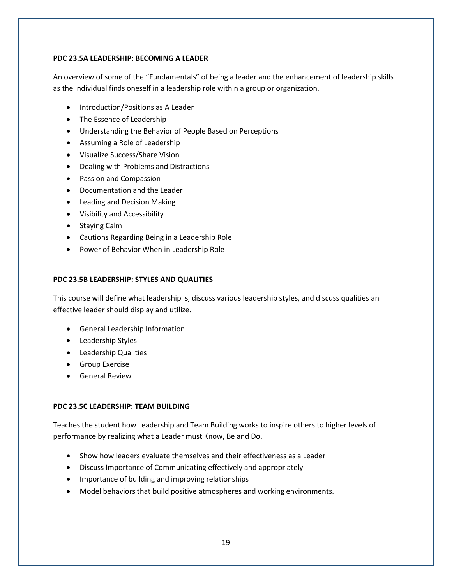#### **PDC 23.5A LEADERSHIP: BECOMING A LEADER**

An overview of some of the "Fundamentals" of being a leader and the enhancement of leadership skills as the individual finds oneself in a leadership role within a group or organization.

- Introduction/Positions as A Leader
- The Essence of Leadership
- Understanding the Behavior of People Based on Perceptions
- Assuming a Role of Leadership
- Visualize Success/Share Vision
- Dealing with Problems and Distractions
- Passion and Compassion
- Documentation and the Leader
- Leading and Decision Making
- Visibility and Accessibility
- Staying Calm
- Cautions Regarding Being in a Leadership Role
- Power of Behavior When in Leadership Role

#### **PDC 23.5B LEADERSHIP: STYLES AND QUALITIES**

This course will define what leadership is, discuss various leadership styles, and discuss qualities an effective leader should display and utilize.

- General Leadership Information
- Leadership Styles
- Leadership Qualities
- Group Exercise
- General Review

#### **PDC 23.5C LEADERSHIP: TEAM BUILDING**

Teaches the student how Leadership and Team Building works to inspire others to higher levels of performance by realizing what a Leader must Know, Be and Do.

- Show how leaders evaluate themselves and their effectiveness as a Leader
- Discuss Importance of Communicating effectively and appropriately
- Importance of building and improving relationships
- Model behaviors that build positive atmospheres and working environments.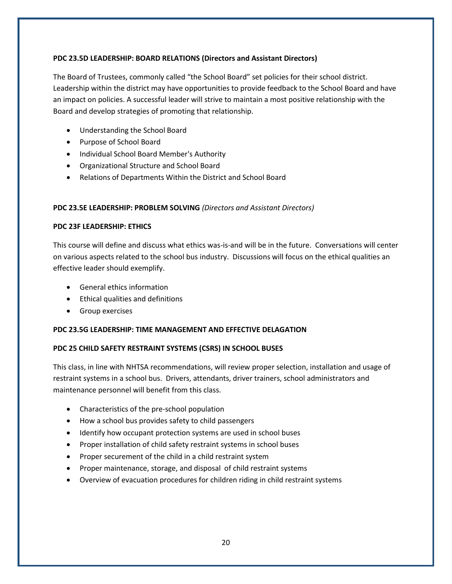#### **PDC 23.5D LEADERSHIP: BOARD RELATIONS (Directors and Assistant Directors)**

The Board of Trustees, commonly called "the School Board" set policies for their school district. Leadership within the district may have opportunities to provide feedback to the School Board and have an impact on policies. A successful leader will strive to maintain a most positive relationship with the Board and develop strategies of promoting that relationship.

- Understanding the School Board
- Purpose of School Board
- Individual School Board Member's Authority
- Organizational Structure and School Board
- Relations of Departments Within the District and School Board

#### **PDC 23.5E LEADERSHIP: PROBLEM SOLVING** *(Directors and Assistant Directors)*

#### **PDC 23F LEADERSHIP: ETHICS**

This course will define and discuss what ethics was-is-and will be in the future. Conversations will center on various aspects related to the school bus industry. Discussions will focus on the ethical qualities an effective leader should exemplify.

- General ethics information
- Ethical qualities and definitions
- Group exercises

## **PDC 23.5G LEADERSHIP: TIME MANAGEMENT AND EFFECTIVE DELAGATION**

## **PDC 25 CHILD SAFETY RESTRAINT SYSTEMS (CSRS) IN SCHOOL BUSES**

This class, in line with NHTSA recommendations, will review proper selection, installation and usage of restraint systems in a school bus. Drivers, attendants, driver trainers, school administrators and maintenance personnel will benefit from this class.

- Characteristics of the pre-school population
- How a school bus provides safety to child passengers
- Identify how occupant protection systems are used in school buses
- Proper installation of child safety restraint systems in school buses
- Proper securement of the child in a child restraint system
- Proper maintenance, storage, and disposal of child restraint systems
- Overview of evacuation procedures for children riding in child restraint systems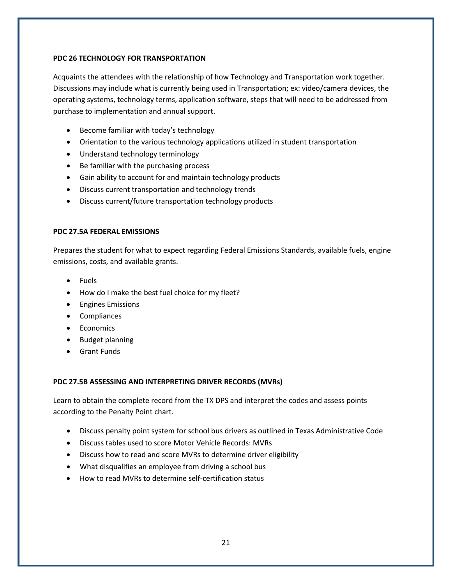#### **PDC 26 TECHNOLOGY FOR TRANSPORTATION**

Acquaints the attendees with the relationship of how Technology and Transportation work together. Discussions may include what is currently being used in Transportation; ex: video/camera devices, the operating systems, technology terms, application software, steps that will need to be addressed from purchase to implementation and annual support.

- Become familiar with today's technology
- Orientation to the various technology applications utilized in student transportation
- Understand technology terminology
- Be familiar with the purchasing process
- Gain ability to account for and maintain technology products
- Discuss current transportation and technology trends
- Discuss current/future transportation technology products

#### **PDC 27.5A FEDERAL EMISSIONS**

Prepares the student for what to expect regarding Federal Emissions Standards, available fuels, engine emissions, costs, and available grants.

- Fuels
- How do I make the best fuel choice for my fleet?
- Engines Emissions
- Compliances
- Economics
- Budget planning
- Grant Funds

#### **PDC 27.5B ASSESSING AND INTERPRETING DRIVER RECORDS (MVRs)**

Learn to obtain the complete record from the TX DPS and interpret the codes and assess points according to the Penalty Point chart.

- Discuss penalty point system for school bus drivers as outlined in Texas Administrative Code
- Discuss tables used to score Motor Vehicle Records: MVRs
- Discuss how to read and score MVRs to determine driver eligibility
- What disqualifies an employee from driving a school bus
- How to read MVRs to determine self-certification status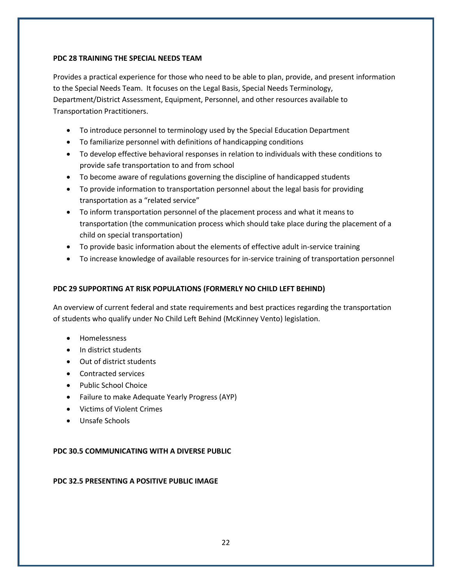#### **PDC 28 TRAINING THE SPECIAL NEEDS TEAM**

Provides a practical experience for those who need to be able to plan, provide, and present information to the Special Needs Team. It focuses on the Legal Basis, Special Needs Terminology, Department/District Assessment, Equipment, Personnel, and other resources available to Transportation Practitioners.

- To introduce personnel to terminology used by the Special Education Department
- To familiarize personnel with definitions of handicapping conditions
- To develop effective behavioral responses in relation to individuals with these conditions to provide safe transportation to and from school
- To become aware of regulations governing the discipline of handicapped students
- To provide information to transportation personnel about the legal basis for providing transportation as a "related service"
- To inform transportation personnel of the placement process and what it means to transportation (the communication process which should take place during the placement of a child on special transportation)
- To provide basic information about the elements of effective adult in-service training
- To increase knowledge of available resources for in-service training of transportation personnel

## **PDC 29 SUPPORTING AT RISK POPULATIONS (FORMERLY NO CHILD LEFT BEHIND)**

An overview of current federal and state requirements and best practices regarding the transportation of students who qualify under No Child Left Behind (McKinney Vento) legislation.

- Homelessness
- In district students
- Out of district students
- Contracted services
- Public School Choice
- Failure to make Adequate Yearly Progress (AYP)
- Victims of Violent Crimes
- Unsafe Schools

## **PDC 30.5 COMMUNICATING WITH A DIVERSE PUBLIC**

#### **PDC 32.5 PRESENTING A POSITIVE PUBLIC IMAGE**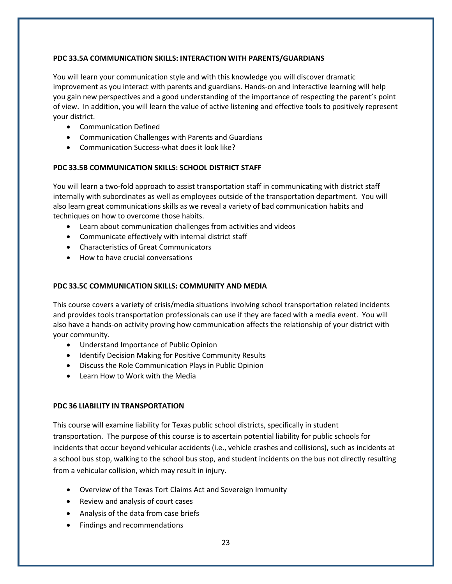#### **PDC 33.5A COMMUNICATION SKILLS: INTERACTION WITH PARENTS/GUARDIANS**

You will learn your communication style and with this knowledge you will discover dramatic improvement as you interact with parents and guardians. Hands-on and interactive learning will help you gain new perspectives and a good understanding of the importance of respecting the parent's point of view. In addition, you will learn the value of active listening and effective tools to positively represent your district.

- Communication Defined
- Communication Challenges with Parents and Guardians
- Communication Success-what does it look like?

#### **PDC 33.5B COMMUNICATION SKILLS: SCHOOL DISTRICT STAFF**

You will learn a two-fold approach to assist transportation staff in communicating with district staff internally with subordinates as well as employees outside of the transportation department. You will also learn great communications skills as we reveal a variety of bad communication habits and techniques on how to overcome those habits.

- Learn about communication challenges from activities and videos
- Communicate effectively with internal district staff
- Characteristics of Great Communicators
- How to have crucial conversations

#### **PDC 33.5C COMMUNICATION SKILLS: COMMUNITY AND MEDIA**

This course covers a variety of crisis/media situations involving school transportation related incidents and provides tools transportation professionals can use if they are faced with a media event. You will also have a hands-on activity proving how communication affects the relationship of your district with your community.

- Understand Importance of Public Opinion
- Identify Decision Making for Positive Community Results
- Discuss the Role Communication Plays in Public Opinion
- Learn How to Work with the Media

#### **PDC 36 LIABILITY IN TRANSPORTATION**

This course will examine liability for Texas public school districts, specifically in student transportation. The purpose of this course is to ascertain potential liability for public schools for incidents that occur beyond vehicular accidents (i.e., vehicle crashes and collisions), such as incidents at a school bus stop, walking to the school bus stop, and student incidents on the bus not directly resulting from a vehicular collision, which may result in injury.

- Overview of the Texas Tort Claims Act and Sovereign Immunity
- Review and analysis of court cases
- Analysis of the data from case briefs
- Findings and recommendations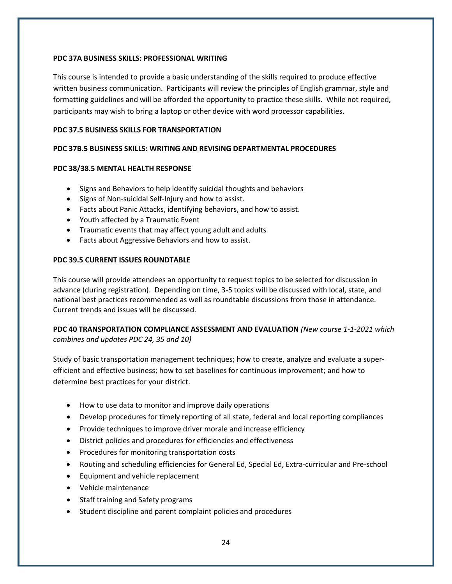#### **PDC 37A BUSINESS SKILLS: PROFESSIONAL WRITING**

This course is intended to provide a basic understanding of the skills required to produce effective written business communication. Participants will review the principles of English grammar, style and formatting guidelines and will be afforded the opportunity to practice these skills. While not required, participants may wish to bring a laptop or other device with word processor capabilities.

#### **PDC 37.5 BUSINESS SKILLS FOR TRANSPORTATION**

#### **PDC 37B.5 BUSINESS SKILLS: WRITING AND REVISING DEPARTMENTAL PROCEDURES**

#### **PDC 38/38.5 MENTAL HEALTH RESPONSE**

- Signs and Behaviors to help identify suicidal thoughts and behaviors
- Signs of Non-suicidal Self-Injury and how to assist.
- Facts about Panic Attacks, identifying behaviors, and how to assist.
- Youth affected by a Traumatic Event
- Traumatic events that may affect young adult and adults
- Facts about Aggressive Behaviors and how to assist.

#### **PDC 39.5 CURRENT ISSUES ROUNDTABLE**

This course will provide attendees an opportunity to request topics to be selected for discussion in advance (during registration). Depending on time, 3-5 topics will be discussed with local, state, and national best practices recommended as well as roundtable discussions from those in attendance. Current trends and issues will be discussed.

#### **PDC 40 TRANSPORTATION COMPLIANCE ASSESSMENT AND EVALUATION** *(New course 1-1-2021 which combines and updates PDC 24, 35 and 10)*

Study of basic transportation management techniques; how to create, analyze and evaluate a superefficient and effective business; how to set baselines for continuous improvement; and how to determine best practices for your district.

- How to use data to monitor and improve daily operations
- Develop procedures for timely reporting of all state, federal and local reporting compliances
- Provide techniques to improve driver morale and increase efficiency
- District policies and procedures for efficiencies and effectiveness
- Procedures for monitoring transportation costs
- Routing and scheduling efficiencies for General Ed, Special Ed, Extra-curricular and Pre-school
- Equipment and vehicle replacement
- Vehicle maintenance
- Staff training and Safety programs
- Student discipline and parent complaint policies and procedures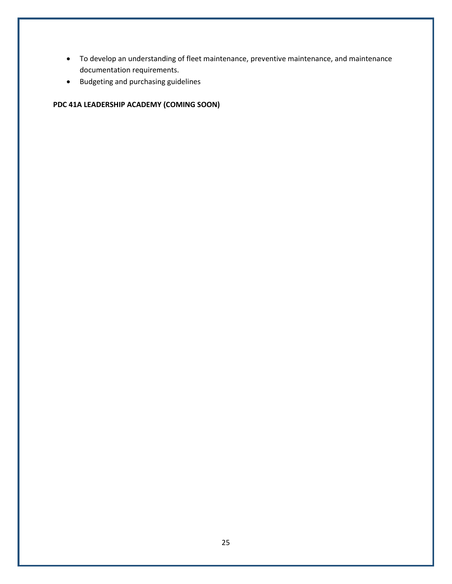- To develop an understanding of fleet maintenance, preventive maintenance, and maintenance documentation requirements.
- Budgeting and purchasing guidelines

# **PDC 41A LEADERSHIP ACADEMY (COMING SOON)**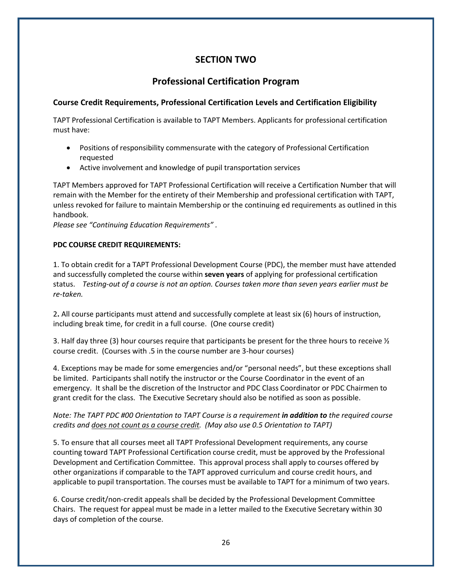# **SECTION TWO**

# **Professional Certification Program**

## **Course Credit Requirements, Professional Certification Levels and Certification Eligibility**

TAPT Professional Certification is available to TAPT Members. Applicants for professional certification must have:

- Positions of responsibility commensurate with the category of Professional Certification requested
- Active involvement and knowledge of pupil transportation services

TAPT Members approved for TAPT Professional Certification will receive a Certification Number that will remain with the Member for the entirety of their Membership and professional certification with TAPT, unless revoked for failure to maintain Membership or the continuing ed requirements as outlined in this handbook.

*Please see "Continuing Education Requirements" .*

#### **PDC COURSE CREDIT REQUIREMENTS:**

1. To obtain credit for a TAPT Professional Development Course (PDC), the member must have attended and successfully completed the course within **seven years** of applying for professional certification status. *Testing-out of a course is not an option. Courses taken more than seven years earlier must be re-taken.*

2**.** All course participants must attend and successfully complete at least six (6) hours of instruction, including break time, for credit in a full course. (One course credit)

3. Half day three (3) hour courses require that participants be present for the three hours to receive  $\frac{1}{2}$ course credit. (Courses with .5 in the course number are 3-hour courses)

4. Exceptions may be made for some emergencies and/or "personal needs", but these exceptions shall be limited. Participants shall notify the instructor or the Course Coordinator in the event of an emergency. It shall be the discretion of the Instructor and PDC Class Coordinator or PDC Chairmen to grant credit for the class. The Executive Secretary should also be notified as soon as possible.

## *Note: The TAPT PDC #00 Orientation to TAPT Course is a requirement in addition to the required course credits and does not count as a course credit. (May also use 0.5 Orientation to TAPT)*

5. To ensure that all courses meet all TAPT Professional Development requirements, any course counting toward TAPT Professional Certification course credit, must be approved by the Professional Development and Certification Committee. This approval process shall apply to courses offered by other organizations if comparable to the TAPT approved curriculum and course credit hours, and applicable to pupil transportation. The courses must be available to TAPT for a minimum of two years.

6. Course credit/non-credit appeals shall be decided by the Professional Development Committee Chairs. The request for appeal must be made in a letter mailed to the Executive Secretary within 30 days of completion of the course.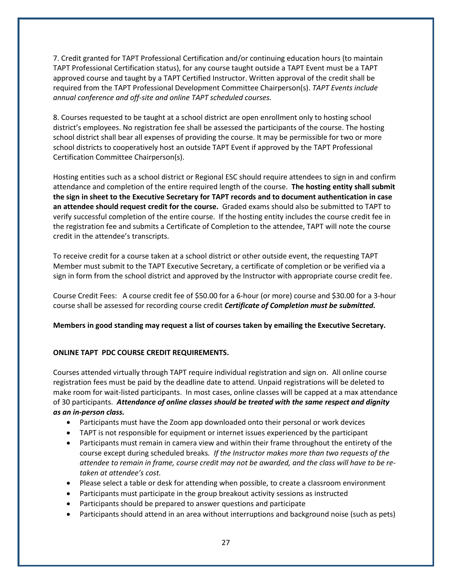7. Credit granted for TAPT Professional Certification and/or continuing education hours (to maintain TAPT Professional Certification status), for any course taught outside a TAPT Event must be a TAPT approved course and taught by a TAPT Certified Instructor. Written approval of the credit shall be required from the TAPT Professional Development Committee Chairperson(s). *TAPT Events include annual conference and off-site and online TAPT scheduled courses.* 

8. Courses requested to be taught at a school district are open enrollment only to hosting school district's employees. No registration fee shall be assessed the participants of the course. The hosting school district shall bear all expenses of providing the course. It may be permissible for two or more school districts to cooperatively host an outside TAPT Event if approved by the TAPT Professional Certification Committee Chairperson(s).

Hosting entities such as a school district or Regional ESC should require attendees to sign in and confirm attendance and completion of the entire required length of the course. **The hosting entity shall submit the sign in sheet to the Executive Secretary for TAPT records and to document authentication in case an attendee should request credit for the course.** Graded exams should also be submitted to TAPT to verify successful completion of the entire course. If the hosting entity includes the course credit fee in the registration fee and submits a Certificate of Completion to the attendee, TAPT will note the course credit in the attendee's transcripts.

To receive credit for a course taken at a school district or other outside event, the requesting TAPT Member must submit to the TAPT Executive Secretary, a certificate of completion or be verified via a sign in form from the school district and approved by the Instructor with appropriate course credit fee.

Course Credit Fees: A course credit fee of \$50.00 for a 6-hour (or more) course and \$30.00 for a 3-hour course shall be assessed for recording course credit *Certificate of Completion must be submitted.*

**Members in good standing may request a list of courses taken by emailing the Executive Secretary.**

#### **ONLINE TAPT PDC COURSE CREDIT REQUIREMENTS.**

Courses attended virtually through TAPT require individual registration and sign on. All online course registration fees must be paid by the deadline date to attend. Unpaid registrations will be deleted to make room for wait-listed participants. In most cases, online classes will be capped at a max attendance of 30 participants. *Attendance of online classes should be treated with the same respect and dignity as an in-person class.*

- Participants must have the Zoom app downloaded onto their personal or work devices
- TAPT is not responsible for equipment or internet issues experienced by the participant
- Participants must remain in camera view and within their frame throughout the entirety of the course except during scheduled breaks*. If the Instructor makes more than two requests of the attendee to remain in frame, course credit may not be awarded, and the class will have to be retaken at attendee's cost.*
- Please select a table or desk for attending when possible, to create a classroom environment
- Participants must participate in the group breakout activity sessions as instructed
- Participants should be prepared to answer questions and participate
- Participants should attend in an area without interruptions and background noise (such as pets)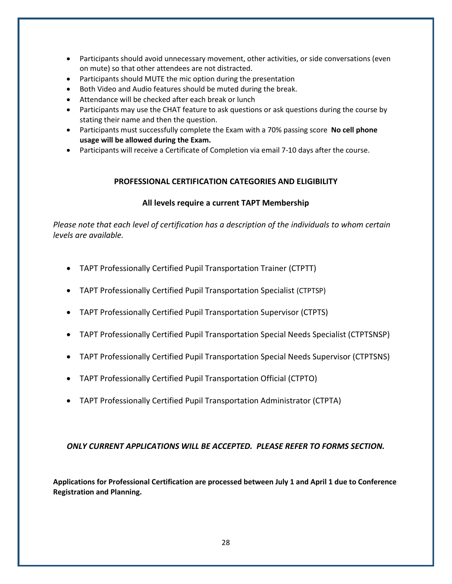- Participants should avoid unnecessary movement, other activities, or side conversations (even on mute) so that other attendees are not distracted.
- Participants should MUTE the mic option during the presentation
- Both Video and Audio features should be muted during the break.
- Attendance will be checked after each break or lunch
- Participants may use the CHAT feature to ask questions or ask questions during the course by stating their name and then the question.
- Participants must successfully complete the Exam with a 70% passing score **No cell phone usage will be allowed during the Exam.**
- Participants will receive a Certificate of Completion via email 7-10 days after the course.

#### **PROFESSIONAL CERTIFICATION CATEGORIES AND ELIGIBILITY**

#### **All levels require a current TAPT Membership**

*Please note that each level of certification has a description of the individuals to whom certain levels are available.*

- TAPT Professionally Certified Pupil Transportation Trainer (CTPTT)
- TAPT Professionally Certified Pupil Transportation Specialist (CTPTSP)
- TAPT Professionally Certified Pupil Transportation Supervisor (CTPTS)
- TAPT Professionally Certified Pupil Transportation Special Needs Specialist (CTPTSNSP)
- TAPT Professionally Certified Pupil Transportation Special Needs Supervisor (CTPTSNS)
- TAPT Professionally Certified Pupil Transportation Official (CTPTO)
- TAPT Professionally Certified Pupil Transportation Administrator (CTPTA)

## *ONLY CURRENT APPLICATIONS WILL BE ACCEPTED. PLEASE REFER TO FORMS SECTION.*

**Applications for Professional Certification are processed between July 1 and April 1 due to Conference Registration and Planning.**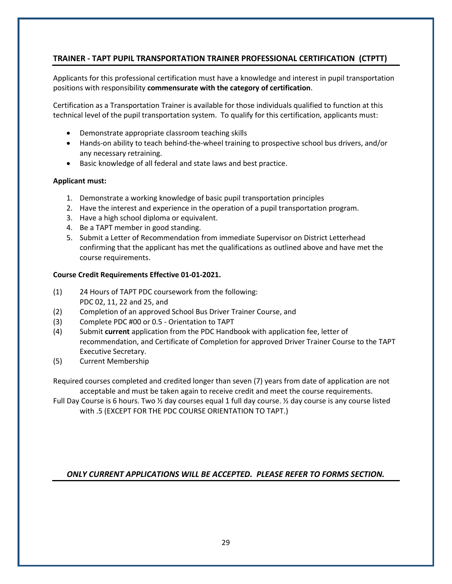# **TRAINER - TAPT PUPIL TRANSPORTATION TRAINER PROFESSIONAL CERTIFICATION (CTPTT)**

Applicants for this professional certification must have a knowledge and interest in pupil transportation positions with responsibility **commensurate with the category of certification**.

Certification as a Transportation Trainer is available for those individuals qualified to function at this technical level of the pupil transportation system. To qualify for this certification, applicants must:

- Demonstrate appropriate classroom teaching skills
- Hands-on ability to teach behind-the-wheel training to prospective school bus drivers, and/or any necessary retraining.
- Basic knowledge of all federal and state laws and best practice.

#### **Applicant must:**

- 1. Demonstrate a working knowledge of basic pupil transportation principles
- 2. Have the interest and experience in the operation of a pupil transportation program.
- 3. Have a high school diploma or equivalent.
- 4. Be a TAPT member in good standing.
- 5. Submit a Letter of Recommendation from immediate Supervisor on District Letterhead confirming that the applicant has met the qualifications as outlined above and have met the course requirements.

#### **Course Credit Requirements Effective 01-01-2021.**

- (1) 24 Hours of TAPT PDC coursework from the following: PDC 02, 11, 22 and 25, and
- (2) Completion of an approved School Bus Driver Trainer Course, and
- (3) Complete PDC #00 or 0.5 Orientation to TAPT
- (4) Submit **current** application from the PDC Handbook with application fee, letter of recommendation, and Certificate of Completion for approved Driver Trainer Course to the TAPT Executive Secretary.
- (5) Current Membership

Required courses completed and credited longer than seven (7) years from date of application are not acceptable and must be taken again to receive credit and meet the course requirements.

Full Day Course is 6 hours. Two ½ day courses equal 1 full day course. ½ day course is any course listed with .5 (EXCEPT FOR THE PDC COURSE ORIENTATION TO TAPT.)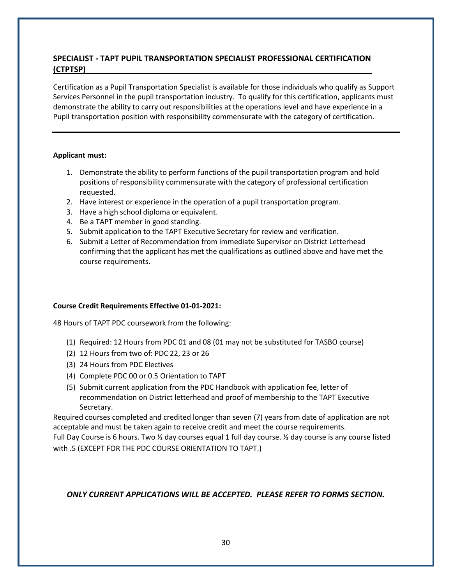# **SPECIALIST - TAPT PUPIL TRANSPORTATION SPECIALIST PROFESSIONAL CERTIFICATION (CTPTSP)**

Certification as a Pupil Transportation Specialist is available for those individuals who qualify as Support Services Personnel in the pupil transportation industry. To qualify for this certification, applicants must demonstrate the ability to carry out responsibilities at the operations level and have experience in a Pupil transportation position with responsibility commensurate with the category of certification.

#### **Applicant must:**

- 1. Demonstrate the ability to perform functions of the pupil transportation program and hold positions of responsibility commensurate with the category of professional certification requested.
- 2. Have interest or experience in the operation of a pupil transportation program.
- 3. Have a high school diploma or equivalent.
- 4. Be a TAPT member in good standing.
- 5. Submit application to the TAPT Executive Secretary for review and verification.
- 6. Submit a Letter of Recommendation from immediate Supervisor on District Letterhead confirming that the applicant has met the qualifications as outlined above and have met the course requirements.

#### **Course Credit Requirements Effective 01-01-2021:**

48 Hours of TAPT PDC coursework from the following:

- (1) Required: 12 Hours from PDC 01 and 08 (01 may not be substituted for TASBO course)
- (2) 12 Hours from two of: PDC 22, 23 or 26
- (3) 24 Hours from PDC Electives
- (4) Complete PDC 00 or 0.5 Orientation to TAPT
- (5) Submit current application from the PDC Handbook with application fee, letter of recommendation on District letterhead and proof of membership to the TAPT Executive Secretary.

Required courses completed and credited longer than seven (7) years from date of application are not acceptable and must be taken again to receive credit and meet the course requirements.

Full Day Course is 6 hours. Two ½ day courses equal 1 full day course. ½ day course is any course listed with .5 (EXCEPT FOR THE PDC COURSE ORIENTATION TO TAPT.)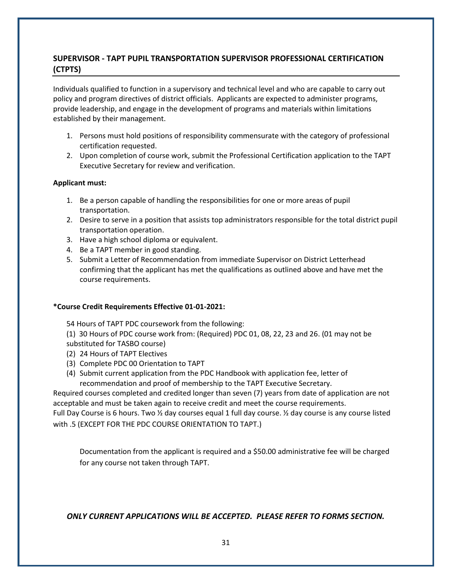# **SUPERVISOR - TAPT PUPIL TRANSPORTATION SUPERVISOR PROFESSIONAL CERTIFICATION (CTPTS)**

Individuals qualified to function in a supervisory and technical level and who are capable to carry out policy and program directives of district officials. Applicants are expected to administer programs, provide leadership, and engage in the development of programs and materials within limitations established by their management.

- 1. Persons must hold positions of responsibility commensurate with the category of professional certification requested.
- 2. Upon completion of course work, submit the Professional Certification application to the TAPT Executive Secretary for review and verification.

#### **Applicant must:**

- 1. Be a person capable of handling the responsibilities for one or more areas of pupil transportation.
- 2. Desire to serve in a position that assists top administrators responsible for the total district pupil transportation operation.
- 3. Have a high school diploma or equivalent.
- 4. Be a TAPT member in good standing.
- 5. Submit a Letter of Recommendation from immediate Supervisor on District Letterhead confirming that the applicant has met the qualifications as outlined above and have met the course requirements.

#### **\*Course Credit Requirements Effective 01-01-2021:**

54 Hours of TAPT PDC coursework from the following:

(1) 30 Hours of PDC course work from: (Required) PDC 01, 08, 22, 23 and 26. (01 may not be substituted for TASBO course)

- (2) 24 Hours of TAPT Electives
- (3) Complete PDC 00 Orientation to TAPT
- (4) Submit current application from the PDC Handbook with application fee, letter of recommendation and proof of membership to the TAPT Executive Secretary.

Required courses completed and credited longer than seven (7) years from date of application are not acceptable and must be taken again to receive credit and meet the course requirements.

Full Day Course is 6 hours. Two ½ day courses equal 1 full day course. ½ day course is any course listed with .5 (EXCEPT FOR THE PDC COURSE ORIENTATION TO TAPT.)

Documentation from the applicant is required and a \$50.00 administrative fee will be charged for any course not taken through TAPT.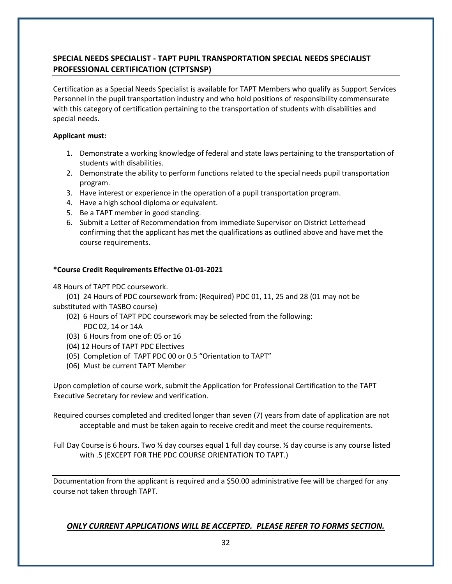# **SPECIAL NEEDS SPECIALIST - TAPT PUPIL TRANSPORTATION SPECIAL NEEDS SPECIALIST PROFESSIONAL CERTIFICATION (CTPTSNSP)**

Certification as a Special Needs Specialist is available for TAPT Members who qualify as Support Services Personnel in the pupil transportation industry and who hold positions of responsibility commensurate with this category of certification pertaining to the transportation of students with disabilities and special needs.

#### **Applicant must:**

- 1. Demonstrate a working knowledge of federal and state laws pertaining to the transportation of students with disabilities.
- 2. Demonstrate the ability to perform functions related to the special needs pupil transportation program.
- 3. Have interest or experience in the operation of a pupil transportation program.
- 4. Have a high school diploma or equivalent.
- 5. Be a TAPT member in good standing.
- 6. Submit a Letter of Recommendation from immediate Supervisor on District Letterhead confirming that the applicant has met the qualifications as outlined above and have met the course requirements.

## **\*Course Credit Requirements Effective 01-01-2021**

48 Hours of TAPT PDC coursework.

(01) 24 Hours of PDC coursework from: (Required) PDC 01, 11, 25 and 28 (01 may not be substituted with TASBO course)

- (02) 6 Hours of TAPT PDC coursework may be selected from the following:
	- PDC 02, 14 or 14A
- (03) 6 Hours from one of: 05 or 16
- (04) 12 Hours of TAPT PDC Electives
- (05) Completion of TAPT PDC 00 or 0.5 "Orientation to TAPT"
- (06) Must be current TAPT Member

Upon completion of course work, submit the Application for Professional Certification to the TAPT Executive Secretary for review and verification.

Required courses completed and credited longer than seven (7) years from date of application are not acceptable and must be taken again to receive credit and meet the course requirements.

Full Day Course is 6 hours. Two ½ day courses equal 1 full day course. ½ day course is any course listed with .5 (EXCEPT FOR THE PDC COURSE ORIENTATION TO TAPT.)

Documentation from the applicant is required and a \$50.00 administrative fee will be charged for any course not taken through TAPT.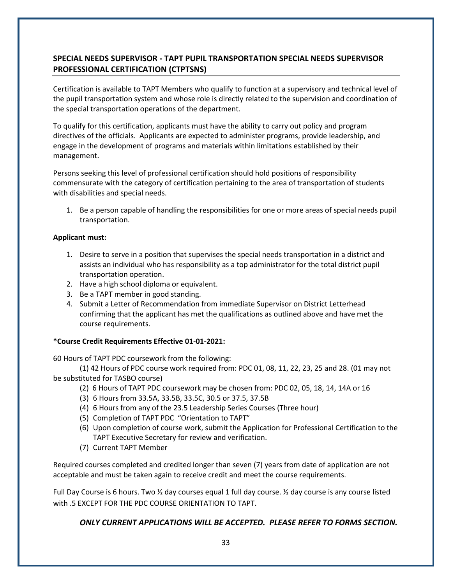# **SPECIAL NEEDS SUPERVISOR - TAPT PUPIL TRANSPORTATION SPECIAL NEEDS SUPERVISOR PROFESSIONAL CERTIFICATION (CTPTSNS)**

Certification is available to TAPT Members who qualify to function at a supervisory and technical level of the pupil transportation system and whose role is directly related to the supervision and coordination of the special transportation operations of the department.

To qualify for this certification, applicants must have the ability to carry out policy and program directives of the officials. Applicants are expected to administer programs, provide leadership, and engage in the development of programs and materials within limitations established by their management.

Persons seeking this level of professional certification should hold positions of responsibility commensurate with the category of certification pertaining to the area of transportation of students with disabilities and special needs.

1. Be a person capable of handling the responsibilities for one or more areas of special needs pupil transportation.

#### **Applicant must:**

- 1. Desire to serve in a position that supervises the special needs transportation in a district and assists an individual who has responsibility as a top administrator for the total district pupil transportation operation.
- 2. Have a high school diploma or equivalent.
- 3. Be a TAPT member in good standing.
- 4. Submit a Letter of Recommendation from immediate Supervisor on District Letterhead confirming that the applicant has met the qualifications as outlined above and have met the course requirements.

#### **\*Course Credit Requirements Effective 01-01-2021:**

60 Hours of TAPT PDC coursework from the following:

(1) 42 Hours of PDC course work required from: PDC 01, 08, 11, 22, 23, 25 and 28. (01 may not be substituted for TASBO course)

- (2) 6 Hours of TAPT PDC coursework may be chosen from: PDC 02, 05, 18, 14, 14A or 16
- (3) 6 Hours from 33.5A, 33.5B, 33.5C, 30.5 or 37.5, 37.5B
- (4) 6 Hours from any of the 23.5 Leadership Series Courses (Three hour)
- (5) Completion of TAPT PDC "Orientation to TAPT"
- (6) Upon completion of course work, submit the Application for Professional Certification to the TAPT Executive Secretary for review and verification.
- (7) Current TAPT Member

Required courses completed and credited longer than seven (7) years from date of application are not acceptable and must be taken again to receive credit and meet the course requirements.

Full Day Course is 6 hours. Two ½ day courses equal 1 full day course. ½ day course is any course listed with .5 EXCEPT FOR THE PDC COURSE ORIENTATION TO TAPT.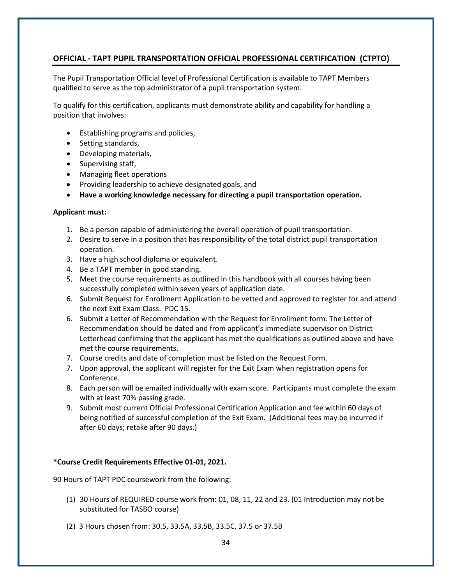## **OFFICIAL - TAPT PUPIL TRANSPORTATION OFFICIAL PROFESSIONAL CERTIFICATION (CTPTO)**

The Pupil Transportation Official level of Professional Certification is available to TAPT Members qualified to serve as the top administrator of a pupil transportation system.

To qualify for this certification, applicants must demonstrate ability and capability for handling a position that involves:

- Establishing programs and policies,
- Setting standards,
- Developing materials,
- Supervising staff,
- Managing fleet operations
- Providing leadership to achieve designated goals, and
- **Have a working knowledge necessary for directing a pupil transportation operation.**

#### **Applicant must:**

- 1. Be a person capable of administering the overall operation of pupil transportation.
- 2. Desire to serve in a position that has responsibility of the total district pupil transportation operation.
- 3. Have a high school diploma or equivalent.
- 4. Be a TAPT member in good standing.
- 5. Meet the course requirements as outlined in this handbook with all courses having been successfully completed within seven years of application date.
- 6. Submit Request for Enrollment Application to be vetted and approved to register for and attend the next Exit Exam Class. PDC 15.
- 6. Submit a Letter of Recommendation with the Request for Enrollment form. The Letter of Recommendation should be dated and from applicant's immediate supervisor on District Letterhead confirming that the applicant has met the qualifications as outlined above and have met the course requirements.
- 7. Course credits and date of completion must be listed on the Request Form.
- 7. Upon approval, the applicant will register for the Exit Exam when registration opens for Conference.
- 8. Each person will be emailed individually with exam score. Participants must complete the exam with at least 70% passing grade.
- 9. Submit most current Official Professional Certification Application and fee within 60 days of being notified of successful completion of the Exit Exam. (Additional fees may be incurred if after 60 days; retake after 90 days.)

#### **\*Course Credit Requirements Effective 01-01, 2021.**

90 Hours of TAPT PDC coursework from the following:

- (1) 30 Hours of REQUIRED course work from: 01, 08, 11, 22 and 23. (01 Introduction may not be substituted for TASBO course)
- (2) 3 Hours chosen from: 30.5, 33.5A, 33.5B, 33.5C, 37.5 or 37.5B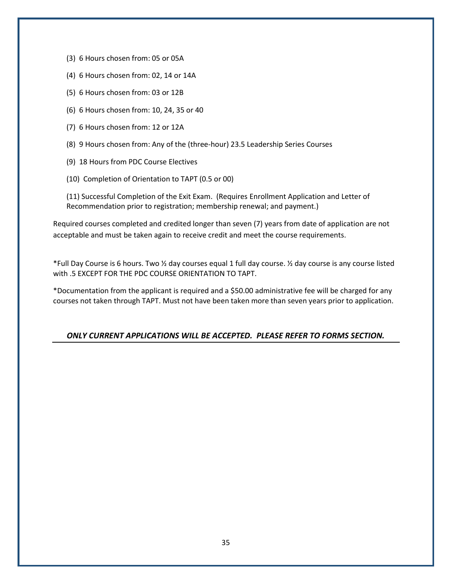- (3) 6 Hours chosen from: 05 or 05A
- (4) 6 Hours chosen from: 02, 14 or 14A
- (5) 6 Hours chosen from: 03 or 12B
- (6) 6 Hours chosen from: 10, 24, 35 or 40
- (7) 6 Hours chosen from: 12 or 12A
- (8) 9 Hours chosen from: Any of the (three-hour) 23.5 Leadership Series Courses
- (9) 18 Hours from PDC Course Electives
- (10) Completion of Orientation to TAPT (0.5 or 00)

(11) Successful Completion of the Exit Exam. (Requires Enrollment Application and Letter of Recommendation prior to registration; membership renewal; and payment.)

Required courses completed and credited longer than seven (7) years from date of application are not acceptable and must be taken again to receive credit and meet the course requirements.

\*Full Day Course is 6 hours. Two ½ day courses equal 1 full day course. ½ day course is any course listed with .5 EXCEPT FOR THE PDC COURSE ORIENTATION TO TAPT.

\*Documentation from the applicant is required and a \$50.00 administrative fee will be charged for any courses not taken through TAPT. Must not have been taken more than seven years prior to application.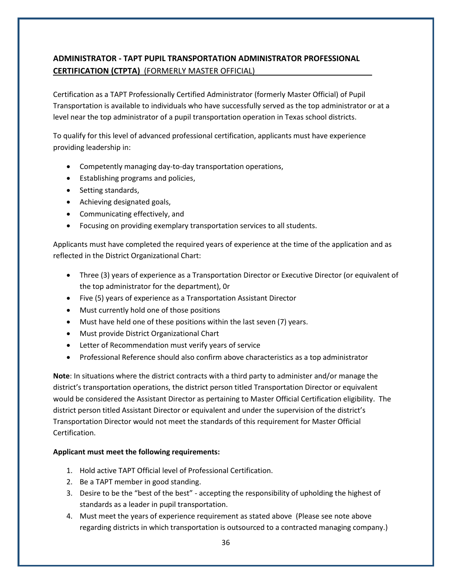# **ADMINISTRATOR - TAPT PUPIL TRANSPORTATION ADMINISTRATOR PROFESSIONAL CERTIFICATION (CTPTA)** (FORMERLY MASTER OFFICIAL)

Certification as a TAPT Professionally Certified Administrator (formerly Master Official) of Pupil Transportation is available to individuals who have successfully served as the top administrator or at a level near the top administrator of a pupil transportation operation in Texas school districts.

To qualify for this level of advanced professional certification, applicants must have experience providing leadership in:

- Competently managing day-to-day transportation operations,
- Establishing programs and policies,
- Setting standards,
- Achieving designated goals,
- Communicating effectively, and
- Focusing on providing exemplary transportation services to all students.

Applicants must have completed the required years of experience at the time of the application and as reflected in the District Organizational Chart:

- Three (3) years of experience as a Transportation Director or Executive Director (or equivalent of the top administrator for the department), 0r
- Five (5) years of experience as a Transportation Assistant Director
- Must currently hold one of those positions
- Must have held one of these positions within the last seven (7) years.
- Must provide District Organizational Chart
- Letter of Recommendation must verify years of service
- Professional Reference should also confirm above characteristics as a top administrator

**Note**: In situations where the district contracts with a third party to administer and/or manage the district's transportation operations, the district person titled Transportation Director or equivalent would be considered the Assistant Director as pertaining to Master Official Certification eligibility. The district person titled Assistant Director or equivalent and under the supervision of the district's Transportation Director would not meet the standards of this requirement for Master Official Certification.

## **Applicant must meet the following requirements:**

- 1. Hold active TAPT Official level of Professional Certification.
- 2. Be a TAPT member in good standing.
- 3. Desire to be the "best of the best" accepting the responsibility of upholding the highest of standards as a leader in pupil transportation.
- 4. Must meet the years of experience requirement as stated above (Please see note above regarding districts in which transportation is outsourced to a contracted managing company.)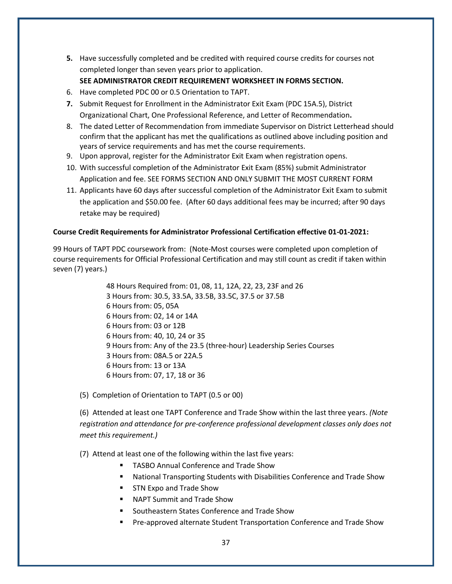**5.** Have successfully completed and be credited with required course credits for courses not completed longer than seven years prior to application.

#### **SEE ADMINISTRATOR CREDIT REQUIREMENT WORKSHEET IN FORMS SECTION.**

- 6. Have completed PDC 00 or 0.5 Orientation to TAPT.
- **7.** Submit Request for Enrollment in the Administrator Exit Exam (PDC 15A.5), District Organizational Chart, One Professional Reference, and Letter of Recommendation**.**
- 8. The dated Letter of Recommendation from immediate Supervisor on District Letterhead should confirm that the applicant has met the qualifications as outlined above including position and years of service requirements and has met the course requirements.
- 9. Upon approval, register for the Administrator Exit Exam when registration opens.
- 10. With successful completion of the Administrator Exit Exam (85%) submit Administrator Application and fee. SEE FORMS SECTION AND ONLY SUBMIT THE MOST CURRENT FORM
- 11. Applicants have 60 days after successful completion of the Administrator Exit Exam to submit the application and \$50.00 fee. (After 60 days additional fees may be incurred; after 90 days retake may be required)

#### **Course Credit Requirements for Administrator Professional Certification effective 01-01-2021:**

99 Hours of TAPT PDC coursework from: (Note-Most courses were completed upon completion of course requirements for Official Professional Certification and may still count as credit if taken within seven (7) years.)

> 48 Hours Required from: 01, 08, 11, 12A, 22, 23, 23F and 26 3 Hours from: 30.5, 33.5A, 33.5B, 33.5C, 37.5 or 37.5B 6 Hours from: 05, 05A 6 Hours from: 02, 14 or 14A 6 Hours from: 03 or 12B 6 Hours from: 40, 10, 24 or 35 9 Hours from: Any of the 23.5 (three-hour) Leadership Series Courses 3 Hours from: 08A.5 or 22A.5 6 Hours from: 13 or 13A 6 Hours from: 07, 17, 18 or 36

(5) Completion of Orientation to TAPT (0.5 or 00)

(6) Attended at least one TAPT Conference and Trade Show within the last three years. *(Note registration and attendance for pre-conference professional development classes only does not meet this requirement.)*

(7) Attend at least one of the following within the last five years:

- TASBO Annual Conference and Trade Show
- National Transporting Students with Disabilities Conference and Trade Show
- STN Expo and Trade Show
- NAPT Summit and Trade Show
- Southeastern States Conference and Trade Show
- Pre-approved alternate Student Transportation Conference and Trade Show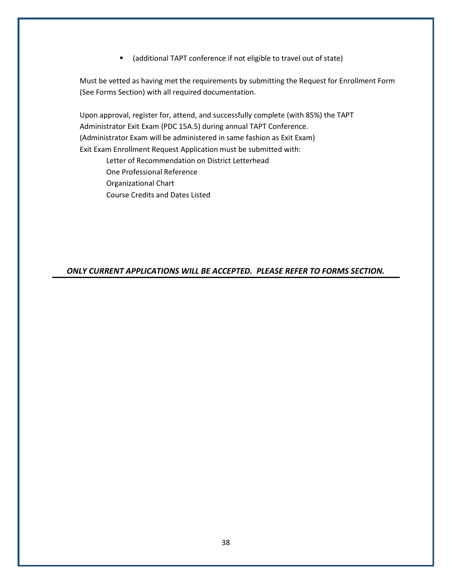■ (additional TAPT conference if not eligible to travel out of state)

Must be vetted as having met the requirements by submitting the Request for Enrollment Form (See Forms Section) with all required documentation.

Upon approval, register for, attend, and successfully complete (with 85%) the TAPT Administrator Exit Exam (PDC 15A.5) during annual TAPT Conference. (Administrator Exam will be administered in same fashion as Exit Exam) Exit Exam Enrollment Request Application must be submitted with: Letter of Recommendation on District Letterhead One Professional Reference Organizational Chart Course Credits and Dates Listed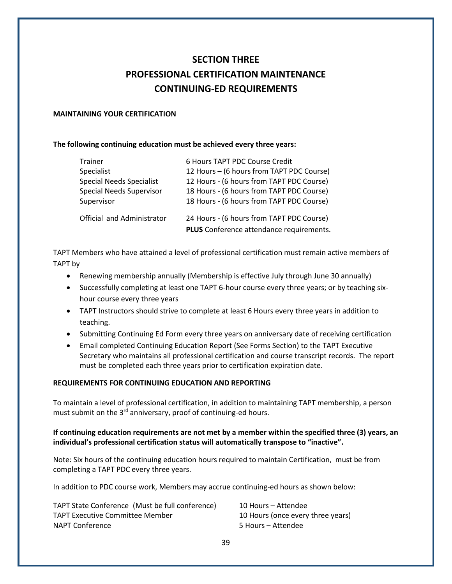# **SECTION THREE PROFESSIONAL CERTIFICATION MAINTENANCE CONTINUING-ED REQUIREMENTS**

#### **MAINTAINING YOUR CERTIFICATION**

#### **The following continuing education must be achieved every three years:**

| Trainer                         | 6 Hours TAPT PDC Course Credit            |
|---------------------------------|-------------------------------------------|
| Specialist                      | 12 Hours - (6 hours from TAPT PDC Course) |
| <b>Special Needs Specialist</b> | 12 Hours - (6 hours from TAPT PDC Course) |
| <b>Special Needs Supervisor</b> | 18 Hours - (6 hours from TAPT PDC Course) |
| Supervisor                      | 18 Hours - (6 hours from TAPT PDC Course) |
| Official and Administrator      | 24 Hours - (6 hours from TAPT PDC Course) |
|                                 | PLUS Conference attendance requirements.  |

TAPT Members who have attained a level of professional certification must remain active members of TAPT by

- Renewing membership annually (Membership is effective July through June 30 annually)
- Successfully completing at least one TAPT 6-hour course every three years; or by teaching sixhour course every three years
- TAPT Instructors should strive to complete at least 6 Hours every three years in addition to teaching.
- Submitting Continuing Ed Form every three years on anniversary date of receiving certification
- Email completed Continuing Education Report (See Forms Section) to the TAPT Executive Secretary who maintains all professional certification and course transcript records. The report must be completed each three years prior to certification expiration date.

#### **REQUIREMENTS FOR CONTINUING EDUCATION AND REPORTING**

To maintain a level of professional certification, in addition to maintaining TAPT membership, a person must submit on the  $3<sup>rd</sup>$  anniversary, proof of continuing-ed hours.

#### **If continuing education requirements are not met by a member within the specified three (3) years, an individual's professional certification status will automatically transpose to "inactive".**

Note: Six hours of the continuing education hours required to maintain Certification, must be from completing a TAPT PDC every three years.

In addition to PDC course work, Members may accrue continuing-ed hours as shown below:

| TAPT State Conference (Must be full conference) | 10 Hours – Attendee               |
|-------------------------------------------------|-----------------------------------|
| <b>TAPT Executive Committee Member</b>          | 10 Hours (once every three years) |
| NAPT Conference                                 | 5 Hours – Attendee                |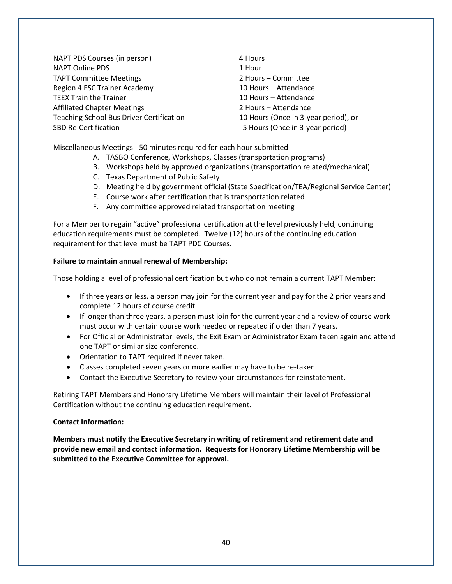NAPT PDS Courses (in person) 4 Hours NAPT Online PDS 1 Hour TAPT Committee Meetings 2 Hours – Committee Region 4 ESC Trainer Academy 10 Hours – Attendance TEEX Train the Trainer 10 Hours – Attendance Affiliated Chapter Meetings 2 Hours – Attendance Teaching School Bus Driver Certification 10 Hours (Once in 3-year period), or SBD Re-Certification **5 Hours (Once in 3-year period)** 

Miscellaneous Meetings - 50 minutes required for each hour submitted

- A. TASBO Conference, Workshops, Classes (transportation programs)
- B. Workshops held by approved organizations (transportation related/mechanical)
- C. Texas Department of Public Safety
- D. Meeting held by government official (State Specification/TEA/Regional Service Center)
- E. Course work after certification that is transportation related
- F. Any committee approved related transportation meeting

For a Member to regain "active" professional certification at the level previously held, continuing education requirements must be completed. Twelve (12) hours of the continuing education requirement for that level must be TAPT PDC Courses.

#### **Failure to maintain annual renewal of Membership:**

Those holding a level of professional certification but who do not remain a current TAPT Member:

- If three years or less, a person may join for the current year and pay for the 2 prior years and complete 12 hours of course credit
- If longer than three years, a person must join for the current year and a review of course work must occur with certain course work needed or repeated if older than 7 years.
- For Official or Administrator levels, the Exit Exam or Administrator Exam taken again and attend one TAPT or similar size conference.
- Orientation to TAPT required if never taken.
- Classes completed seven years or more earlier may have to be re-taken
- Contact the Executive Secretary to review your circumstances for reinstatement.

Retiring TAPT Members and Honorary Lifetime Members will maintain their level of Professional Certification without the continuing education requirement.

#### **Contact Information:**

**Members must notify the Executive Secretary in writing of retirement and retirement date and provide new email and contact information. Requests for Honorary Lifetime Membership will be submitted to the Executive Committee for approval.**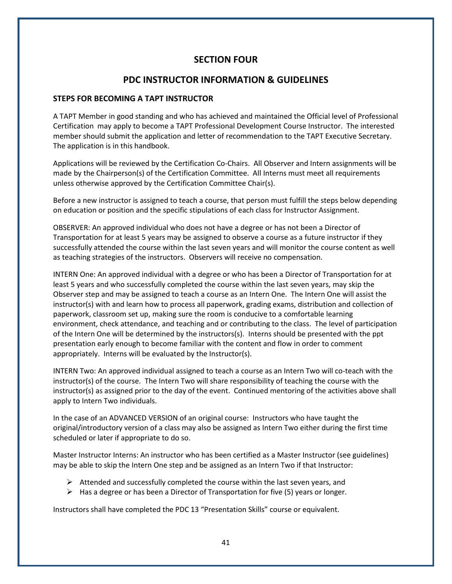# **SECTION FOUR**

# **PDC INSTRUCTOR INFORMATION & GUIDELINES**

#### **STEPS FOR BECOMING A TAPT INSTRUCTOR**

A TAPT Member in good standing and who has achieved and maintained the Official level of Professional Certification may apply to become a TAPT Professional Development Course Instructor. The interested member should submit the application and letter of recommendation to the TAPT Executive Secretary. The application is in this handbook.

Applications will be reviewed by the Certification Co-Chairs. All Observer and Intern assignments will be made by the Chairperson(s) of the Certification Committee. All Interns must meet all requirements unless otherwise approved by the Certification Committee Chair(s).

Before a new instructor is assigned to teach a course, that person must fulfill the steps below depending on education or position and the specific stipulations of each class for Instructor Assignment.

OBSERVER: An approved individual who does not have a degree or has not been a Director of Transportation for at least 5 years may be assigned to observe a course as a future instructor if they successfully attended the course within the last seven years and will monitor the course content as well as teaching strategies of the instructors. Observers will receive no compensation.

INTERN One: An approved individual with a degree or who has been a Director of Transportation for at least 5 years and who successfully completed the course within the last seven years, may skip the Observer step and may be assigned to teach a course as an Intern One. The Intern One will assist the instructor(s) with and learn how to process all paperwork, grading exams, distribution and collection of paperwork, classroom set up, making sure the room is conducive to a comfortable learning environment, check attendance, and teaching and or contributing to the class. The level of participation of the Intern One will be determined by the instructors(s). Interns should be presented with the ppt presentation early enough to become familiar with the content and flow in order to comment appropriately. Interns will be evaluated by the Instructor(s).

INTERN Two: An approved individual assigned to teach a course as an Intern Two will co-teach with the instructor(s) of the course. The Intern Two will share responsibility of teaching the course with the instructor(s) as assigned prior to the day of the event. Continued mentoring of the activities above shall apply to Intern Two individuals.

In the case of an ADVANCED VERSION of an original course: Instructors who have taught the original/introductory version of a class may also be assigned as Intern Two either during the first time scheduled or later if appropriate to do so.

Master Instructor Interns: An instructor who has been certified as a Master Instructor (see guidelines) may be able to skip the Intern One step and be assigned as an Intern Two if that Instructor:

- $\triangleright$  Attended and successfully completed the course within the last seven years, and
- $\triangleright$  Has a degree or has been a Director of Transportation for five (5) years or longer.

Instructors shall have completed the PDC 13 "Presentation Skills" course or equivalent.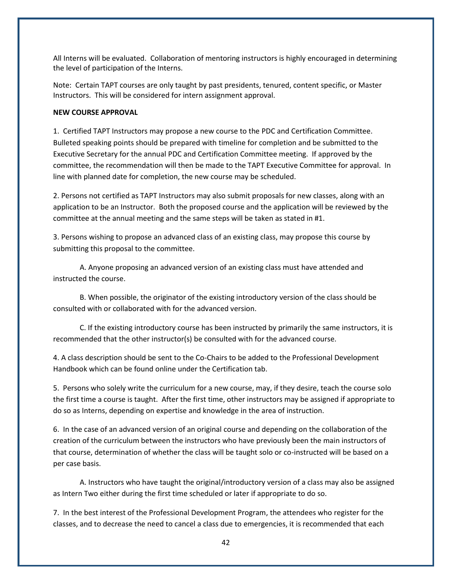All Interns will be evaluated. Collaboration of mentoring instructors is highly encouraged in determining the level of participation of the Interns.

Note: Certain TAPT courses are only taught by past presidents, tenured, content specific, or Master Instructors. This will be considered for intern assignment approval.

#### **NEW COURSE APPROVAL**

1. Certified TAPT Instructors may propose a new course to the PDC and Certification Committee. Bulleted speaking points should be prepared with timeline for completion and be submitted to the Executive Secretary for the annual PDC and Certification Committee meeting. If approved by the committee, the recommendation will then be made to the TAPT Executive Committee for approval. In line with planned date for completion, the new course may be scheduled.

2. Persons not certified as TAPT Instructors may also submit proposals for new classes, along with an application to be an Instructor. Both the proposed course and the application will be reviewed by the committee at the annual meeting and the same steps will be taken as stated in #1.

3. Persons wishing to propose an advanced class of an existing class, may propose this course by submitting this proposal to the committee.

A. Anyone proposing an advanced version of an existing class must have attended and instructed the course.

B. When possible, the originator of the existing introductory version of the class should be consulted with or collaborated with for the advanced version.

C. If the existing introductory course has been instructed by primarily the same instructors, it is recommended that the other instructor(s) be consulted with for the advanced course.

4. A class description should be sent to the Co-Chairs to be added to the Professional Development Handbook which can be found online under the Certification tab.

5. Persons who solely write the curriculum for a new course, may, if they desire, teach the course solo the first time a course is taught. After the first time, other instructors may be assigned if appropriate to do so as Interns, depending on expertise and knowledge in the area of instruction.

6. In the case of an advanced version of an original course and depending on the collaboration of the creation of the curriculum between the instructors who have previously been the main instructors of that course, determination of whether the class will be taught solo or co-instructed will be based on a per case basis.

A. Instructors who have taught the original/introductory version of a class may also be assigned as Intern Two either during the first time scheduled or later if appropriate to do so.

7. In the best interest of the Professional Development Program, the attendees who register for the classes, and to decrease the need to cancel a class due to emergencies, it is recommended that each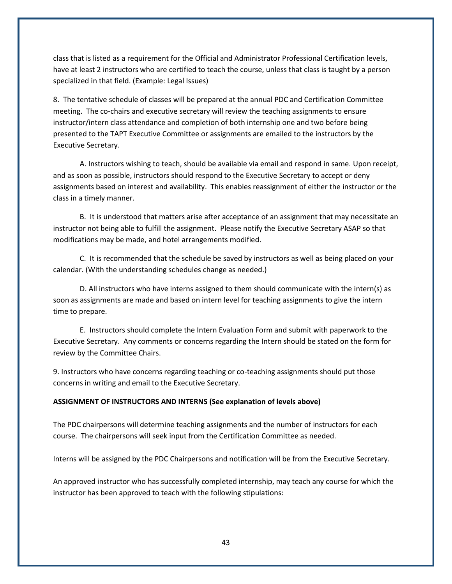class that is listed as a requirement for the Official and Administrator Professional Certification levels, have at least 2 instructors who are certified to teach the course, unless that class is taught by a person specialized in that field. (Example: Legal Issues)

8. The tentative schedule of classes will be prepared at the annual PDC and Certification Committee meeting. The co-chairs and executive secretary will review the teaching assignments to ensure instructor/intern class attendance and completion of both internship one and two before being presented to the TAPT Executive Committee or assignments are emailed to the instructors by the Executive Secretary.

A. Instructors wishing to teach, should be available via email and respond in same. Upon receipt, and as soon as possible, instructors should respond to the Executive Secretary to accept or deny assignments based on interest and availability. This enables reassignment of either the instructor or the class in a timely manner.

B. It is understood that matters arise after acceptance of an assignment that may necessitate an instructor not being able to fulfill the assignment. Please notify the Executive Secretary ASAP so that modifications may be made, and hotel arrangements modified.

C. It is recommended that the schedule be saved by instructors as well as being placed on your calendar. (With the understanding schedules change as needed.)

D. All instructors who have interns assigned to them should communicate with the intern(s) as soon as assignments are made and based on intern level for teaching assignments to give the intern time to prepare.

E. Instructors should complete the Intern Evaluation Form and submit with paperwork to the Executive Secretary. Any comments or concerns regarding the Intern should be stated on the form for review by the Committee Chairs.

9. Instructors who have concerns regarding teaching or co-teaching assignments should put those concerns in writing and email to the Executive Secretary.

#### **ASSIGNMENT OF INSTRUCTORS AND INTERNS (See explanation of levels above)**

The PDC chairpersons will determine teaching assignments and the number of instructors for each course. The chairpersons will seek input from the Certification Committee as needed.

Interns will be assigned by the PDC Chairpersons and notification will be from the Executive Secretary.

An approved instructor who has successfully completed internship, may teach any course for which the instructor has been approved to teach with the following stipulations: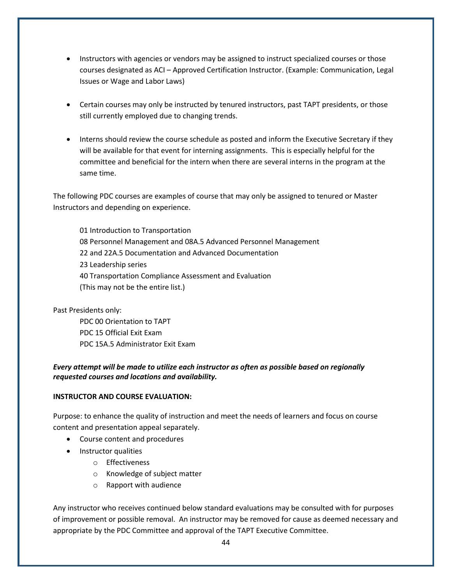- Instructors with agencies or vendors may be assigned to instruct specialized courses or those courses designated as ACI – Approved Certification Instructor. (Example: Communication, Legal Issues or Wage and Labor Laws)
- Certain courses may only be instructed by tenured instructors, past TAPT presidents, or those still currently employed due to changing trends.
- Interns should review the course schedule as posted and inform the Executive Secretary if they will be available for that event for interning assignments. This is especially helpful for the committee and beneficial for the intern when there are several interns in the program at the same time.

The following PDC courses are examples of course that may only be assigned to tenured or Master Instructors and depending on experience.

01 Introduction to Transportation 08 Personnel Management and 08A.5 Advanced Personnel Management 22 and 22A.5 Documentation and Advanced Documentation 23 Leadership series 40 Transportation Compliance Assessment and Evaluation (This may not be the entire list.)

Past Presidents only:

PDC 00 Orientation to TAPT PDC 15 Official Exit Exam PDC 15A.5 Administrator Exit Exam

## *Every attempt will be made to utilize each instructor as often as possible based on regionally requested courses and locations and availability.*

#### **INSTRUCTOR AND COURSE EVALUATION:**

Purpose: to enhance the quality of instruction and meet the needs of learners and focus on course content and presentation appeal separately.

- Course content and procedures
- Instructor qualities
	- o Effectiveness
	- o Knowledge of subject matter
	- o Rapport with audience

Any instructor who receives continued below standard evaluations may be consulted with for purposes of improvement or possible removal. An instructor may be removed for cause as deemed necessary and appropriate by the PDC Committee and approval of the TAPT Executive Committee.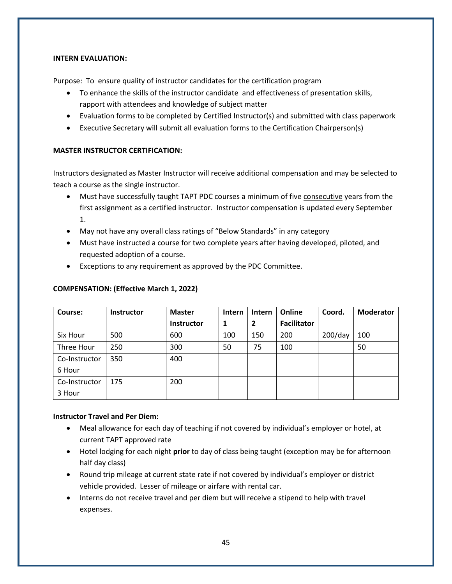#### **INTERN EVALUATION:**

Purpose: To ensure quality of instructor candidates for the certification program

- To enhance the skills of the instructor candidate and effectiveness of presentation skills, rapport with attendees and knowledge of subject matter
- Evaluation forms to be completed by Certified Instructor(s) and submitted with class paperwork
- Executive Secretary will submit all evaluation forms to the Certification Chairperson(s)

#### **MASTER INSTRUCTOR CERTIFICATION:**

Instructors designated as Master Instructor will receive additional compensation and may be selected to teach a course as the single instructor.

- Must have successfully taught TAPT PDC courses a minimum of five consecutive years from the first assignment as a certified instructor. Instructor compensation is updated every September 1.
- May not have any overall class ratings of "Below Standards" in any category
- Must have instructed a course for two complete years after having developed, piloted, and requested adoption of a course.
- Exceptions to any requirement as approved by the PDC Committee.

| $\overline{\phantom{a}}$ $\overline{\phantom{a}}$ | Instru | <b>Mactor</b> | $ln$ torn $ln$ |  |
|---------------------------------------------------|--------|---------------|----------------|--|
|                                                   |        |               |                |  |
|                                                   |        |               |                |  |

**COMPENSATION: (Effective March 1, 2022)**

| Course:       | <b>Instructor</b> | <b>Master</b>     | <b>Intern</b> | Intern         | Online             | Coord.     | <b>Moderator</b> |
|---------------|-------------------|-------------------|---------------|----------------|--------------------|------------|------------------|
|               |                   | <b>Instructor</b> | 1             | $\overline{2}$ | <b>Facilitator</b> |            |                  |
| Six Hour      | 500               | 600               | 100           | 150            | 200                | $200$ /day | 100              |
| Three Hour    | 250               | 300               | 50            | 75             | 100                |            | 50               |
| Co-Instructor | 350               | 400               |               |                |                    |            |                  |
| 6 Hour        |                   |                   |               |                |                    |            |                  |
| Co-Instructor | 175               | 200               |               |                |                    |            |                  |
| 3 Hour        |                   |                   |               |                |                    |            |                  |

#### **Instructor Travel and Per Diem:**

- Meal allowance for each day of teaching if not covered by individual's employer or hotel, at current TAPT approved rate
- Hotel lodging for each night **prior** to day of class being taught (exception may be for afternoon half day class)
- Round trip mileage at current state rate if not covered by individual's employer or district vehicle provided. Lesser of mileage or airfare with rental car.
- Interns do not receive travel and per diem but will receive a stipend to help with travel expenses.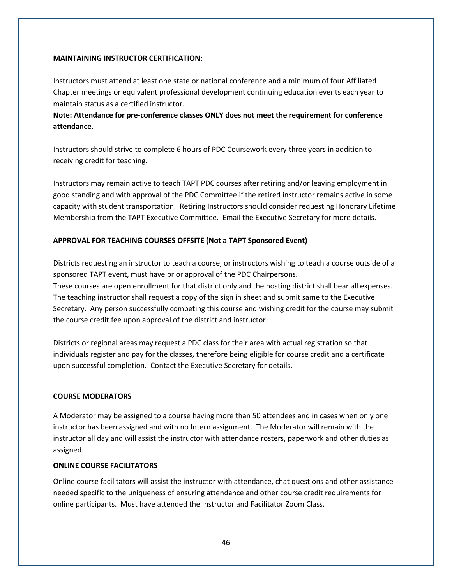#### **MAINTAINING INSTRUCTOR CERTIFICATION:**

Instructors must attend at least one state or national conference and a minimum of four Affiliated Chapter meetings or equivalent professional development continuing education events each year to maintain status as a certified instructor.

**Note: Attendance for pre-conference classes ONLY does not meet the requirement for conference attendance.**

Instructors should strive to complete 6 hours of PDC Coursework every three years in addition to receiving credit for teaching.

Instructors may remain active to teach TAPT PDC courses after retiring and/or leaving employment in good standing and with approval of the PDC Committee if the retired instructor remains active in some capacity with student transportation. Retiring Instructors should consider requesting Honorary Lifetime Membership from the TAPT Executive Committee. Email the Executive Secretary for more details.

#### **APPROVAL FOR TEACHING COURSES OFFSITE (Not a TAPT Sponsored Event)**

Districts requesting an instructor to teach a course, or instructors wishing to teach a course outside of a sponsored TAPT event, must have prior approval of the PDC Chairpersons.

These courses are open enrollment for that district only and the hosting district shall bear all expenses. The teaching instructor shall request a copy of the sign in sheet and submit same to the Executive Secretary. Any person successfully competing this course and wishing credit for the course may submit the course credit fee upon approval of the district and instructor.

Districts or regional areas may request a PDC class for their area with actual registration so that individuals register and pay for the classes, therefore being eligible for course credit and a certificate upon successful completion. Contact the Executive Secretary for details.

#### **COURSE MODERATORS**

A Moderator may be assigned to a course having more than 50 attendees and in cases when only one instructor has been assigned and with no Intern assignment. The Moderator will remain with the instructor all day and will assist the instructor with attendance rosters, paperwork and other duties as assigned.

#### **ONLINE COURSE FACILITATORS**

Online course facilitators will assist the instructor with attendance, chat questions and other assistance needed specific to the uniqueness of ensuring attendance and other course credit requirements for online participants. Must have attended the Instructor and Facilitator Zoom Class.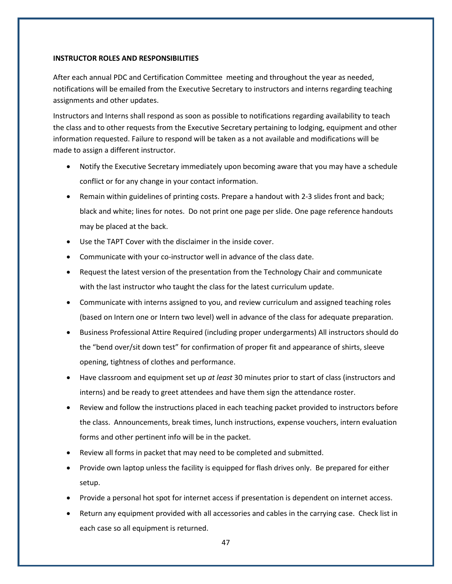#### **INSTRUCTOR ROLES AND RESPONSIBILITIES**

After each annual PDC and Certification Committee meeting and throughout the year as needed, notifications will be emailed from the Executive Secretary to instructors and interns regarding teaching assignments and other updates.

Instructors and Interns shall respond as soon as possible to notifications regarding availability to teach the class and to other requests from the Executive Secretary pertaining to lodging, equipment and other information requested. Failure to respond will be taken as a not available and modifications will be made to assign a different instructor.

- Notify the Executive Secretary immediately upon becoming aware that you may have a schedule conflict or for any change in your contact information.
- Remain within guidelines of printing costs. Prepare a handout with 2-3 slides front and back; black and white; lines for notes. Do not print one page per slide. One page reference handouts may be placed at the back.
- Use the TAPT Cover with the disclaimer in the inside cover.
- Communicate with your co-instructor well in advance of the class date.
- Request the latest version of the presentation from the Technology Chair and communicate with the last instructor who taught the class for the latest curriculum update.
- Communicate with interns assigned to you, and review curriculum and assigned teaching roles (based on Intern one or Intern two level) well in advance of the class for adequate preparation.
- Business Professional Attire Required (including proper undergarments) All instructors should do the "bend over/sit down test" for confirmation of proper fit and appearance of shirts, sleeve opening, tightness of clothes and performance.
- Have classroom and equipment set up *at least* 30 minutes prior to start of class (instructors and interns) and be ready to greet attendees and have them sign the attendance roster.
- Review and follow the instructions placed in each teaching packet provided to instructors before the class. Announcements, break times, lunch instructions, expense vouchers, intern evaluation forms and other pertinent info will be in the packet.
- Review all forms in packet that may need to be completed and submitted.
- Provide own laptop unless the facility is equipped for flash drives only. Be prepared for either setup.
- Provide a personal hot spot for internet access if presentation is dependent on internet access.
- Return any equipment provided with all accessories and cables in the carrying case. Check list in each case so all equipment is returned.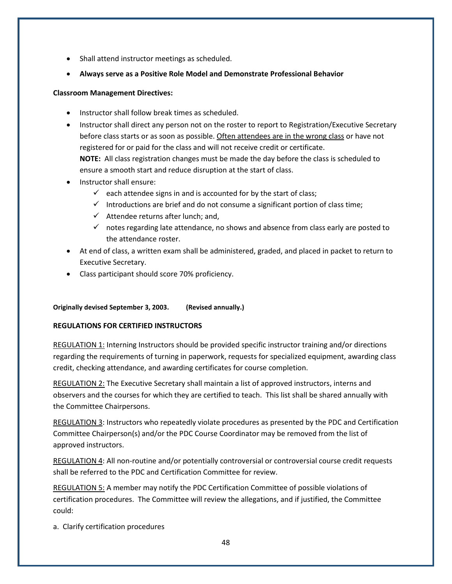- Shall attend instructor meetings as scheduled.
- **Always serve as a Positive Role Model and Demonstrate Professional Behavior**

#### **Classroom Management Directives:**

- Instructor shall follow break times as scheduled.
- Instructor shall direct any person not on the roster to report to Registration/Executive Secretary before class starts or as soon as possible. Often attendees are in the wrong class or have not registered for or paid for the class and will not receive credit or certificate. **NOTE:** All class registration changes must be made the day before the class is scheduled to ensure a smooth start and reduce disruption at the start of class.
- Instructor shall ensure:
	- $\checkmark$  each attendee signs in and is accounted for by the start of class;
	- $\checkmark$  Introductions are brief and do not consume a significant portion of class time;
	- $\checkmark$  Attendee returns after lunch; and,
	- $\checkmark$  notes regarding late attendance, no shows and absence from class early are posted to the attendance roster.
- At end of class, a written exam shall be administered, graded, and placed in packet to return to Executive Secretary.
- Class participant should score 70% proficiency.

#### **Originally devised September 3, 2003. (Revised annually.)**

#### **REGULATIONS FOR CERTIFIED INSTRUCTORS**

REGULATION 1: Interning Instructors should be provided specific instructor training and/or directions regarding the requirements of turning in paperwork, requests for specialized equipment, awarding class credit, checking attendance, and awarding certificates for course completion.

REGULATION 2: The Executive Secretary shall maintain a list of approved instructors, interns and observers and the courses for which they are certified to teach. This list shall be shared annually with the Committee Chairpersons.

REGULATION 3: Instructors who repeatedly violate procedures as presented by the PDC and Certification Committee Chairperson(s) and/or the PDC Course Coordinator may be removed from the list of approved instructors.

REGULATION 4: All non-routine and/or potentially controversial or controversial course credit requests shall be referred to the PDC and Certification Committee for review.

REGULATION 5: A member may notify the PDC Certification Committee of possible violations of certification procedures. The Committee will review the allegations, and if justified, the Committee could:

a. Clarify certification procedures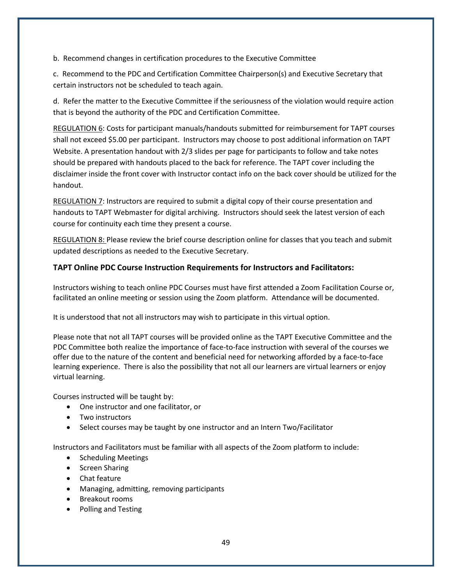b. Recommend changes in certification procedures to the Executive Committee

c. Recommend to the PDC and Certification Committee Chairperson(s) and Executive Secretary that certain instructors not be scheduled to teach again.

d. Refer the matter to the Executive Committee if the seriousness of the violation would require action that is beyond the authority of the PDC and Certification Committee.

REGULATION 6: Costs for participant manuals/handouts submitted for reimbursement for TAPT courses shall not exceed \$5.00 per participant. Instructors may choose to post additional information on TAPT Website. A presentation handout with 2/3 slides per page for participants to follow and take notes should be prepared with handouts placed to the back for reference. The TAPT cover including the disclaimer inside the front cover with Instructor contact info on the back cover should be utilized for the handout.

REGULATION 7: Instructors are required to submit a digital copy of their course presentation and handouts to TAPT Webmaster for digital archiving. Instructors should seek the latest version of each course for continuity each time they present a course.

REGULATION 8: Please review the brief course description online for classes that you teach and submit updated descriptions as needed to the Executive Secretary.

# **TAPT Online PDC Course Instruction Requirements for Instructors and Facilitators:**

Instructors wishing to teach online PDC Courses must have first attended a Zoom Facilitation Course or, facilitated an online meeting or session using the Zoom platform. Attendance will be documented.

It is understood that not all instructors may wish to participate in this virtual option.

Please note that not all TAPT courses will be provided online as the TAPT Executive Committee and the PDC Committee both realize the importance of face-to-face instruction with several of the courses we offer due to the nature of the content and beneficial need for networking afforded by a face-to-face learning experience. There is also the possibility that not all our learners are virtual learners or enjoy virtual learning.

Courses instructed will be taught by:

- One instructor and one facilitator, or
- Two instructors
- Select courses may be taught by one instructor and an Intern Two/Facilitator

Instructors and Facilitators must be familiar with all aspects of the Zoom platform to include:

- Scheduling Meetings
- Screen Sharing
- Chat feature
- Managing, admitting, removing participants
- Breakout rooms
- Polling and Testing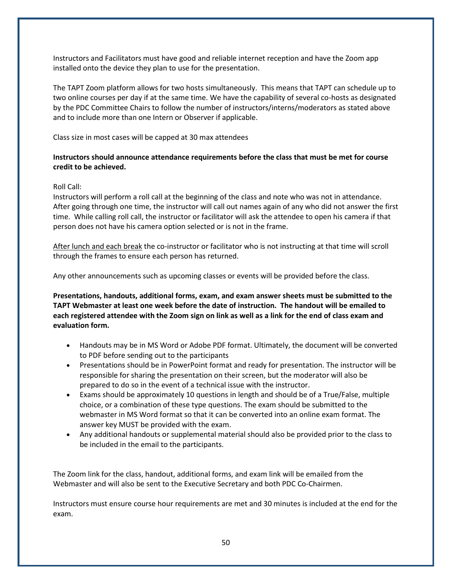Instructors and Facilitators must have good and reliable internet reception and have the Zoom app installed onto the device they plan to use for the presentation.

The TAPT Zoom platform allows for two hosts simultaneously. This means that TAPT can schedule up to two online courses per day if at the same time. We have the capability of several co-hosts as designated by the PDC Committee Chairs to follow the number of instructors/interns/moderators as stated above and to include more than one Intern or Observer if applicable.

Class size in most cases will be capped at 30 max attendees

#### **Instructors should announce attendance requirements before the class that must be met for course credit to be achieved.**

#### Roll Call:

Instructors will perform a roll call at the beginning of the class and note who was not in attendance. After going through one time, the instructor will call out names again of any who did not answer the first time. While calling roll call, the instructor or facilitator will ask the attendee to open his camera if that person does not have his camera option selected or is not in the frame.

After lunch and each break the co-instructor or facilitator who is not instructing at that time will scroll through the frames to ensure each person has returned.

Any other announcements such as upcoming classes or events will be provided before the class.

**Presentations, handouts, additional forms, exam, and exam answer sheets must be submitted to the TAPT Webmaster at least one week before the date of instruction. The handout will be emailed to each registered attendee with the Zoom sign on link as well as a link for the end of class exam and evaluation form.**

- Handouts may be in MS Word or Adobe PDF format. Ultimately, the document will be converted to PDF before sending out to the participants
- Presentations should be in PowerPoint format and ready for presentation. The instructor will be responsible for sharing the presentation on their screen, but the moderator will also be prepared to do so in the event of a technical issue with the instructor.
- Exams should be approximately 10 questions in length and should be of a True/False, multiple choice, or a combination of these type questions. The exam should be submitted to the webmaster in MS Word format so that it can be converted into an online exam format. The answer key MUST be provided with the exam.
- Any additional handouts or supplemental material should also be provided prior to the class to be included in the email to the participants.

The Zoom link for the class, handout, additional forms, and exam link will be emailed from the Webmaster and will also be sent to the Executive Secretary and both PDC Co-Chairmen.

Instructors must ensure course hour requirements are met and 30 minutes is included at the end for the exam.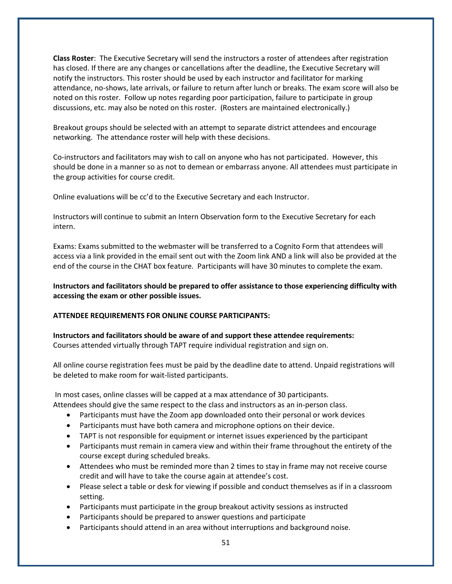**Class Roster**: The Executive Secretary will send the instructors a roster of attendees after registration has closed. If there are any changes or cancellations after the deadline, the Executive Secretary will notify the instructors. This roster should be used by each instructor and facilitator for marking attendance, no-shows, late arrivals, or failure to return after lunch or breaks. The exam score will also be noted on this roster. Follow up notes regarding poor participation, failure to participate in group discussions, etc. may also be noted on this roster. (Rosters are maintained electronically.)

Breakout groups should be selected with an attempt to separate district attendees and encourage networking. The attendance roster will help with these decisions.

Co-instructors and facilitators may wish to call on anyone who has not participated. However, this should be done in a manner so as not to demean or embarrass anyone. All attendees must participate in the group activities for course credit.

Online evaluations will be cc'd to the Executive Secretary and each Instructor.

Instructors will continue to submit an Intern Observation form to the Executive Secretary for each intern.

Exams: Exams submitted to the webmaster will be transferred to a Cognito Form that attendees will access via a link provided in the email sent out with the Zoom link AND a link will also be provided at the end of the course in the CHAT box feature. Participants will have 30 minutes to complete the exam.

**Instructors and facilitators should be prepared to offer assistance to those experiencing difficulty with accessing the exam or other possible issues.**

#### **ATTENDEE REQUIREMENTS FOR ONLINE COURSE PARTICIPANTS:**

**Instructors and facilitators should be aware of and support these attendee requirements:** Courses attended virtually through TAPT require individual registration and sign on.

All online course registration fees must be paid by the deadline date to attend. Unpaid registrations will be deleted to make room for wait-listed participants.

In most cases, online classes will be capped at a max attendance of 30 participants. Attendees should give the same respect to the class and instructors as an in-person class.

- Participants must have the Zoom app downloaded onto their personal or work devices
- Participants must have both camera and microphone options on their device.
- TAPT is not responsible for equipment or internet issues experienced by the participant
- Participants must remain in camera view and within their frame throughout the entirety of the course except during scheduled breaks.
- Attendees who must be reminded more than 2 times to stay in frame may not receive course credit and will have to take the course again at attendee's cost.
- Please select a table or desk for viewing if possible and conduct themselves as if in a classroom setting.
- Participants must participate in the group breakout activity sessions as instructed
- Participants should be prepared to answer questions and participate
- Participants should attend in an area without interruptions and background noise.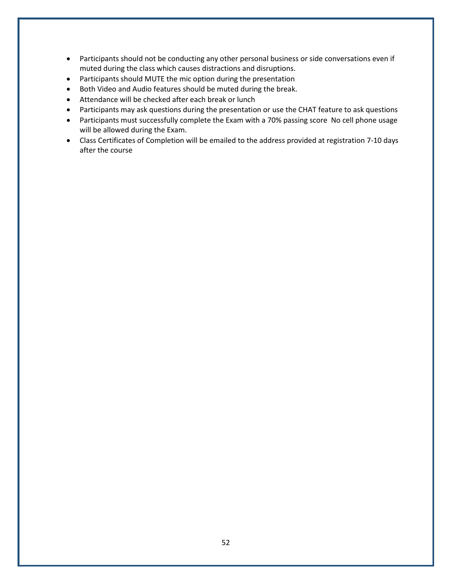- Participants should not be conducting any other personal business or side conversations even if muted during the class which causes distractions and disruptions.
- Participants should MUTE the mic option during the presentation
- Both Video and Audio features should be muted during the break.
- Attendance will be checked after each break or lunch
- Participants may ask questions during the presentation or use the CHAT feature to ask questions
- Participants must successfully complete the Exam with a 70% passing score No cell phone usage will be allowed during the Exam.
- Class Certificates of Completion will be emailed to the address provided at registration 7-10 days after the course